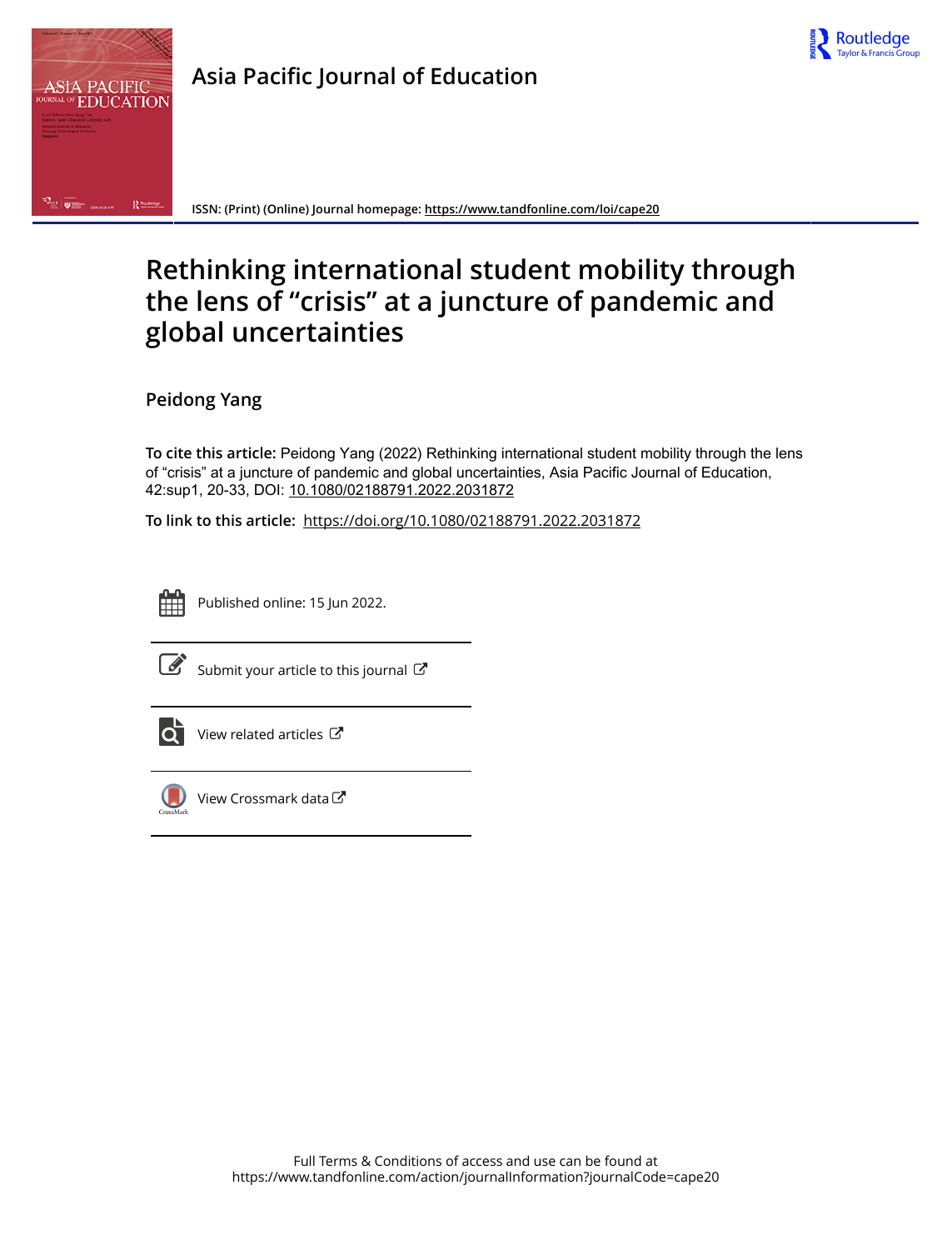



**Asia Pacific Journal of Education**

**ISSN: (Print) (Online) Journal homepage:<https://www.tandfonline.com/loi/cape20>**

# **Rethinking international student mobility through the lens of "crisis" at a juncture of pandemic and global uncertainties**

**Peidong Yang**

**To cite this article:** Peidong Yang (2022) Rethinking international student mobility through the lens of "crisis" at a juncture of pandemic and global uncertainties, Asia Pacific Journal of Education, 42:sup1, 20-33, DOI: [10.1080/02188791.2022.2031872](https://www.tandfonline.com/action/showCitFormats?doi=10.1080/02188791.2022.2031872)

**To link to this article:** <https://doi.org/10.1080/02188791.2022.2031872>



Published online: 15 Jun 2022.



 $\overrightarrow{S}$  [Submit your article to this journal](https://www.tandfonline.com/action/authorSubmission?journalCode=cape20&show=instructions)  $\overrightarrow{S}$ 



 $\overrightarrow{O}$  [View related articles](https://www.tandfonline.com/doi/mlt/10.1080/02188791.2022.2031872)  $\overrightarrow{C}$ 



[View Crossmark data](http://crossmark.crossref.org/dialog/?doi=10.1080/02188791.2022.2031872&domain=pdf&date_stamp=2022-06-15) $G$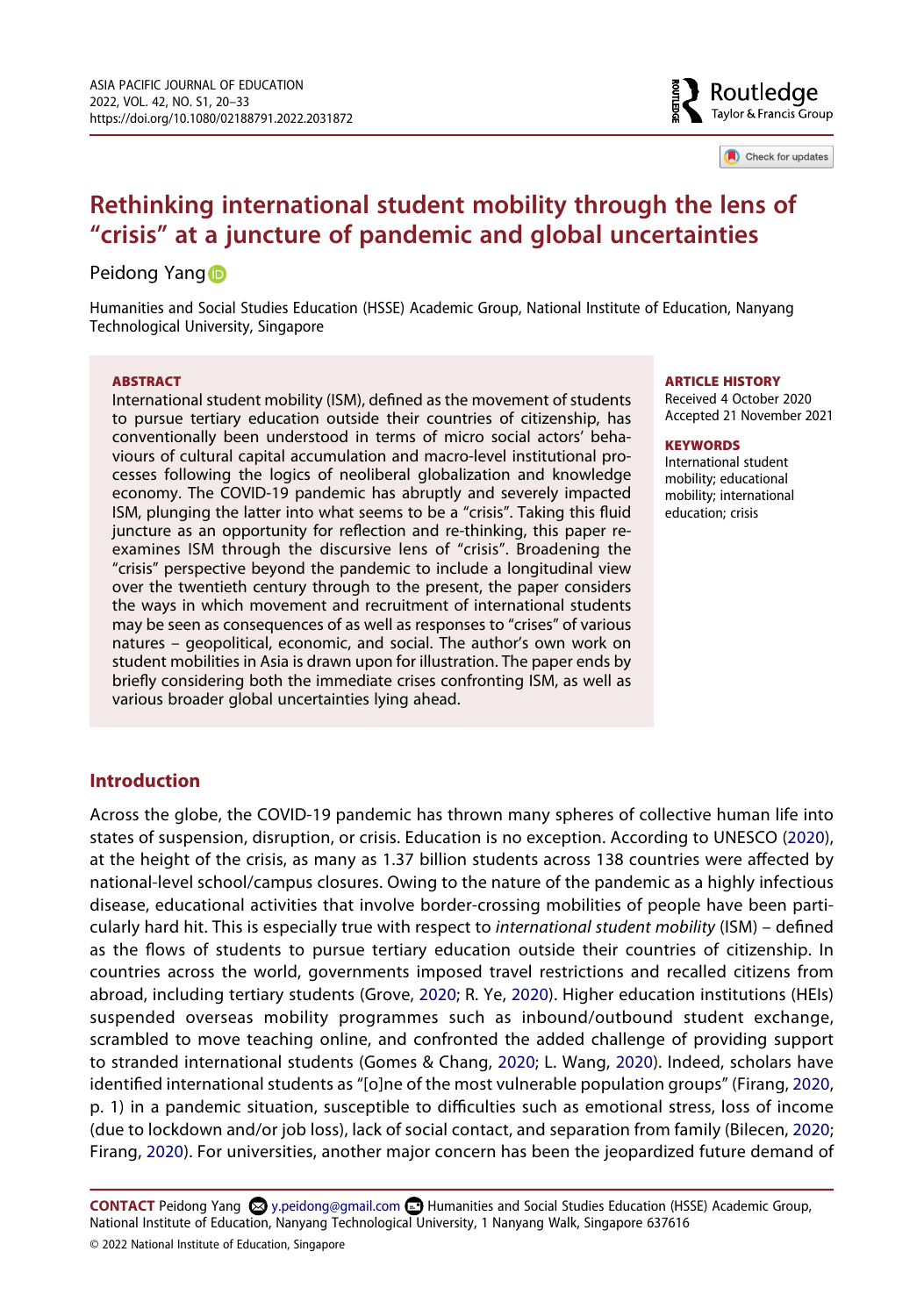

Check for updates

# **Rethinking international student mobility through the lens of "crisis" at a juncture of pandemic and global uncertainties**

# Peidon[g](http://orcid.org/0000-0003-0669-6566) Yang D

Humanities and Social Studies Education (HSSE) Academic Group, National Institute of Education, Nanyang Technological University, Singapore

#### **ABSTRACT**

International student mobility (ISM), defined as the movement of students to pursue tertiary education outside their countries of citizenship, has conventionally been understood in terms of micro social actors' behaviours of cultural capital accumulation and macro-level institutional processes following the logics of neoliberal globalization and knowledge economy. The COVID-19 pandemic has abruptly and severely impacted ISM, plunging the latter into what seems to be a "crisis". Taking this fluid juncture as an opportunity for reflection and re-thinking, this paper reexamines ISM through the discursive lens of "crisis". Broadening the "crisis" perspective beyond the pandemic to include a longitudinal view over the twentieth century through to the present, the paper considers the ways in which movement and recruitment of international students may be seen as consequences of as well as responses to "crises" of various natures – geopolitical, economic, and social. The author's own work on student mobilities in Asia is drawn upon for illustration. The paper ends by briefly considering both the immediate crises confronting ISM, as well as various broader global uncertainties lying ahead.

#### **ARTICLE HISTORY**

Received 4 October 2020 Accepted 21 November 2021

#### **KEYWORDS**

International student mobility; educational mobility; international education; crisis

# **Introduction**

<span id="page-1-4"></span><span id="page-1-3"></span>Across the globe, the COVID-19 pandemic has thrown many spheres of collective human life into states of suspension, disruption, or crisis. Education is no exception. According to UNESCO ([2020\)](#page-13-0), at the height of the crisis, as many as 1.37 billion students across 138 countries were affected by national-level school/campus closures. Owing to the nature of the pandemic as a highly infectious disease, educational activities that involve border-crossing mobilities of people have been particularly hard hit. This is especially true with respect to *international student mobility* (ISM) – defined as the flows of students to pursue tertiary education outside their countries of citizenship. In countries across the world, governments imposed travel restrictions and recalled citizens from abroad, including tertiary students (Grove, [2020;](#page-12-0) R. Ye, [2020](#page-14-0)). Higher education institutions (HEIs) suspended overseas mobility programmes such as inbound/outbound student exchange, scrambled to move teaching online, and confronted the added challenge of providing support to stranded international students (Gomes & Chang, [2020;](#page-12-1) L. Wang, [2020\)](#page-13-1). Indeed, scholars have identified international students as "[o]ne of the most vulnerable population groups" (Firang, [2020](#page-12-2), p. 1) in a pandemic situation, susceptible to difficulties such as emotional stress, loss of income (due to lockdown and/or job loss), lack of social contact, and separation from family (Bilecen, [2020](#page-11-0); Firang, [2020](#page-12-2)). For universities, another major concern has been the jeopardized future demand of

<span id="page-1-2"></span><span id="page-1-1"></span><span id="page-1-0"></span>CONTACT Peidong Yang **۞** y.peidong@gmail.com **■** Humanities and Social Studies Education (HSSE) Academic Group, National Institute of Education, Nanyang Technological University, 1 Nanyang Walk, Singapore 637616 © 2022 National Institute of Education, Singapore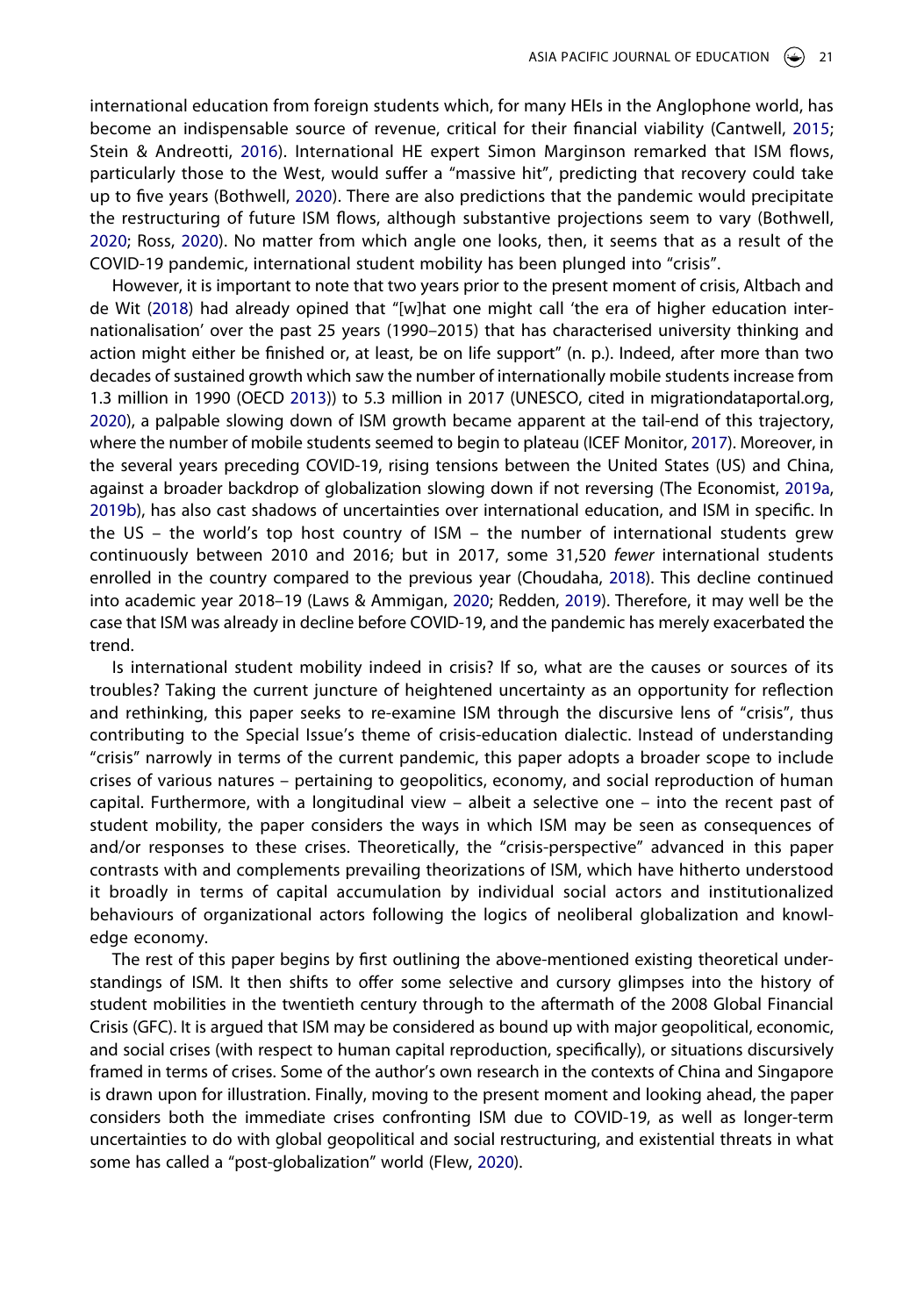<span id="page-2-10"></span><span id="page-2-2"></span>international education from foreign students which, for many HEIs in the Anglophone world, has become an indispensable source of revenue, critical for their financial viability (Cantwell, [2015](#page-12-3); Stein & Andreotti, [2016\)](#page-13-2). International HE expert Simon Marginson remarked that ISM flows, particularly those to the West, would suffer a "massive hit", predicting that recovery could take up to five years (Bothwell, [2020\)](#page-11-1). There are also predictions that the pandemic would precipitate the restructuring of future ISM flows, although substantive projections seem to vary (Bothwell, [2020;](#page-11-1) Ross, [2020\)](#page-13-3). No matter from which angle one looks, then, it seems that as a result of the COVID-19 pandemic, international student mobility has been plunged into "crisis".

<span id="page-2-9"></span><span id="page-2-8"></span><span id="page-2-7"></span><span id="page-2-1"></span><span id="page-2-0"></span>However, it is important to note that two years prior to the present moment of crisis, Altbach and de Wit [\(2018\)](#page-11-2) had already opined that "[w]hat one might call 'the era of higher education internationalisation' over the past 25 years (1990–2015) that has characterised university thinking and action might either be finished or, at least, be on life support" (n. p.). Indeed, after more than two decades of sustained growth which saw the number of internationally mobile students increase from 1.3 million in 1990 (OECD [2013\)](#page-13-4)) to 5.3 million in 2017 (UNESCO, cited in migrationdataportal.org, [2020\)](#page-12-4), a palpable slowing down of ISM growth became apparent at the tail-end of this trajectory, where the number of mobile students seemed to begin to plateau (ICEF Monitor, [2017\)](#page-13-5). Moreover, in the several years preceding COVID-19, rising tensions between the United States (US) and China, against a broader backdrop of globalization slowing down if not reversing (The Economist, [2019a](#page-12-5), [2019b\)](#page-12-6), has also cast shadows of uncertainties over international education, and ISM in specific. In the US – the world's top host country of ISM – the number of international students grew continuously between 2010 and 2016; but in 2017, some 31,520 *fewer* international students enrolled in the country compared to the previous year (Choudaha, [2018\)](#page-12-7). This decline continued into academic year 2018–19 (Laws & Ammigan, [2020](#page-12-8); Redden, [2019](#page-13-6)). Therefore, it may well be the case that ISM was already in decline before COVID-19, and the pandemic has merely exacerbated the trend.

<span id="page-2-6"></span><span id="page-2-4"></span><span id="page-2-3"></span>Is international student mobility indeed in crisis? If so, what are the causes or sources of its troubles? Taking the current juncture of heightened uncertainty as an opportunity for reflection and rethinking, this paper seeks to re-examine ISM through the discursive lens of "crisis", thus contributing to the Special Issue's theme of crisis-education dialectic. Instead of understanding "crisis" narrowly in terms of the current pandemic, this paper adopts a broader scope to include crises of various natures – pertaining to geopolitics, economy, and social reproduction of human capital. Furthermore, with a longitudinal view – albeit a selective one – into the recent past of student mobility, the paper considers the ways in which ISM may be seen as consequences of and/or responses to these crises. Theoretically, the "crisis-perspective" advanced in this paper contrasts with and complements prevailing theorizations of ISM, which have hitherto understood it broadly in terms of capital accumulation by individual social actors and institutionalized behaviours of organizational actors following the logics of neoliberal globalization and knowledge economy.

<span id="page-2-5"></span>The rest of this paper begins by first outlining the above-mentioned existing theoretical understandings of ISM. It then shifts to offer some selective and cursory glimpses into the history of student mobilities in the twentieth century through to the aftermath of the 2008 Global Financial Crisis (GFC). It is argued that ISM may be considered as bound up with major geopolitical, economic, and social crises (with respect to human capital reproduction, specifically), or situations discursively framed in terms of crises. Some of the author's own research in the contexts of China and Singapore is drawn upon for illustration. Finally, moving to the present moment and looking ahead, the paper considers both the immediate crises confronting ISM due to COVID-19, as well as longer-term uncertainties to do with global geopolitical and social restructuring, and existential threats in what some has called a "post-globalization" world (Flew, [2020\)](#page-12-9).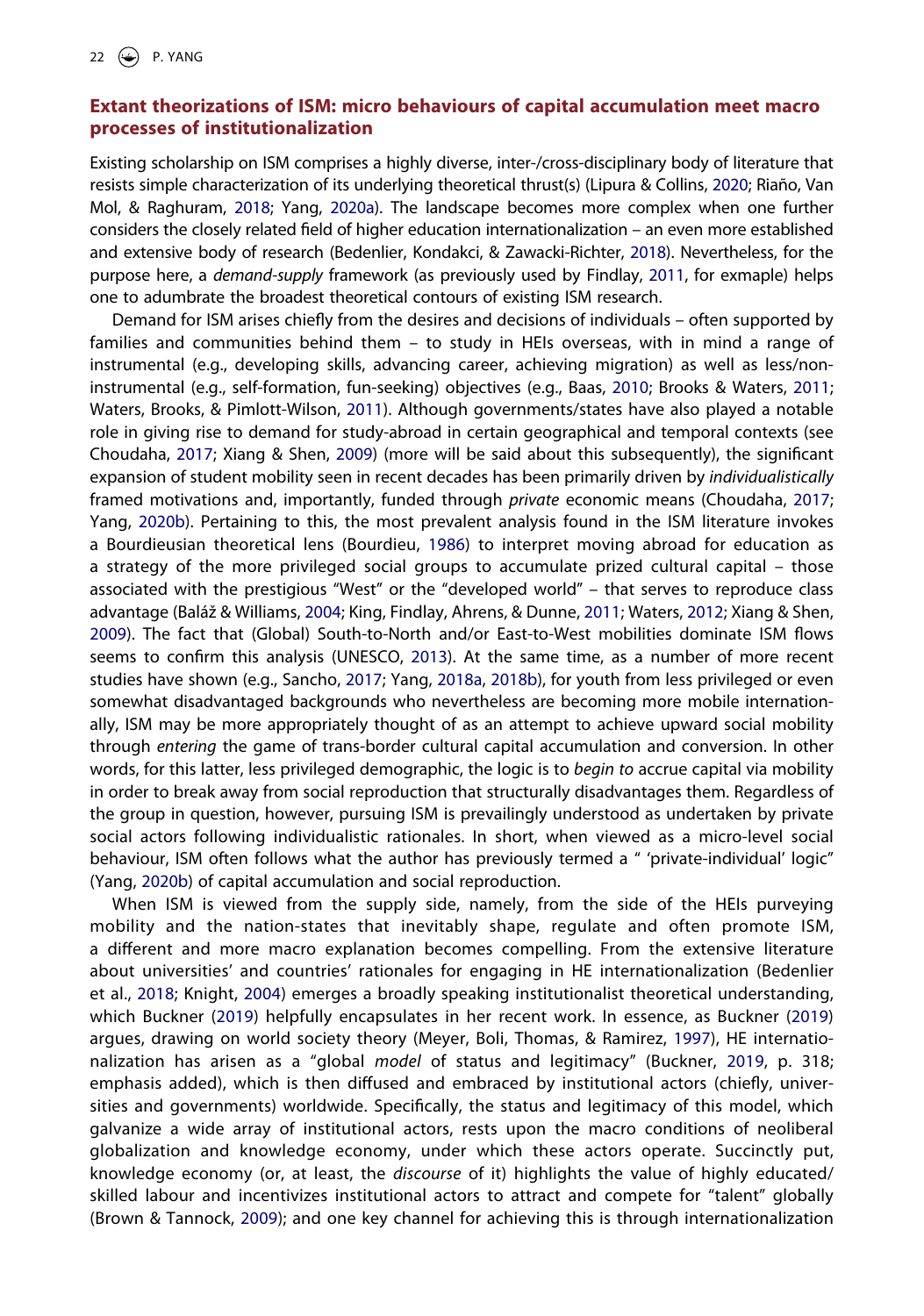# **Extant theorizations of ISM: micro behaviours of capital accumulation meet macro processes of institutionalization**

<span id="page-3-10"></span><span id="page-3-8"></span>Existing scholarship on ISM comprises a highly diverse, inter-/cross-disciplinary body of literature that resists simple characterization of its underlying theoretical thrust(s) (Lipura & Collins, [2020;](#page-12-10) Riaño, Van Mol, & Raghuram, [2018](#page-13-7); Yang, [2020a\)](#page-14-1). The landscape becomes more complex when one further considers the closely related field of higher education internationalization – an even more established and extensive body of research (Bedenlier, Kondakci, & Zawacki-Richter, [2018\)](#page-11-3). Nevertheless, for the purpose here, a *demand-supply* framework (as previously used by Findlay, [2011,](#page-12-11) for exmaple) helps one to adumbrate the broadest theoretical contours of existing ISM research.

<span id="page-3-13"></span><span id="page-3-7"></span><span id="page-3-6"></span><span id="page-3-3"></span><span id="page-3-1"></span><span id="page-3-0"></span>Demand for ISM arises chiefly from the desires and decisions of individuals – often supported by families and communities behind them – to study in HEIs overseas, with in mind a range of instrumental (e.g., developing skills, advancing career, achieving migration) as well as less/noninstrumental (e.g., self-formation, fun-seeking) objectives (e.g., Baas, [2010;](#page-11-4) Brooks & Waters, [2011](#page-11-5); Waters, Brooks, & Pimlott-Wilson, [2011\)](#page-14-2). Although governments/states have also played a notable role in giving rise to demand for study-abroad in certain geographical and temporal contexts (see Choudaha, [2017;](#page-12-12) Xiang & Shen, [2009\)](#page-14-3) (more will be said about this subsequently), the significant expansion of student mobility seen in recent decades has been primarily driven by *individualistically*  framed motivations and, importantly, funded through *private* economic means (Choudaha, [2017](#page-12-12); Yang, [2020b\)](#page-14-4). Pertaining to this, the most prevalent analysis found in the ISM literature invokes a Bourdieusian theoretical lens (Bourdieu, [1986](#page-11-6)) to interpret moving abroad for education as a strategy of the more privileged social groups to accumulate prized cultural capital – those associated with the prestigious "West" or the "developed world" – that serves to reproduce class advantage (Baláž & Williams, [2004](#page-11-7); King, Findlay, Ahrens, & Dunne, [2011](#page-12-13); Waters, [2012](#page-14-5); Xiang & Shen, [2009\)](#page-14-3). The fact that (Global) South-to-North and/or East-to-West mobilities dominate ISM flows seems to confirm this analysis (UNESCO, [2013](#page-13-8)). At the same time, as a number of more recent studies have shown (e.g., Sancho, [2017](#page-13-9); Yang, [2018a,](#page-14-6) [2018b](#page-14-7)), for youth from less privileged or even somewhat disadvantaged backgrounds who nevertheless are becoming more mobile internationally, ISM may be more appropriately thought of as an attempt to achieve upward social mobility through *entering* the game of trans-border cultural capital accumulation and conversion. In other words, for this latter, less privileged demographic, the logic is to *begin to* accrue capital via mobility in order to break away from social reproduction that structurally disadvantages them. Regardless of the group in question, however, pursuing ISM is prevailingly understood as undertaken by private social actors following individualistic rationales. In short, when viewed as a micro-level social behaviour, ISM often follows what the author has previously termed a " 'private-individual' logic" (Yang, [2020b\)](#page-14-4) of capital accumulation and social reproduction.

<span id="page-3-14"></span><span id="page-3-12"></span><span id="page-3-11"></span><span id="page-3-9"></span><span id="page-3-5"></span><span id="page-3-4"></span><span id="page-3-2"></span>When ISM is viewed from the supply side, namely, from the side of the HEIs purveying mobility and the nation-states that inevitably shape, regulate and often promote ISM, a different and more macro explanation becomes compelling. From the extensive literature about universities' and countries' rationales for engaging in HE internationalization (Bedenlier et al., [2018](#page-11-3); Knight, [2004](#page-12-14)) emerges a broadly speaking institutionalist theoretical understanding, which Buckner ([2019](#page-11-8)) helpfully encapsulates in her recent work. In essence, as Buckner ([2019\)](#page-11-8) argues, drawing on world society theory (Meyer, Boli, Thomas, & Ramirez, [1997\)](#page-12-15), HE internationalization has arisen as a "global *model* of status and legitimacy" (Buckner, [2019](#page-11-8), p. 318; emphasis added), which is then diffused and embraced by institutional actors (chiefly, universities and governments) worldwide. Specifically, the status and legitimacy of this model, which galvanize a wide array of institutional actors, rests upon the macro conditions of neoliberal globalization and knowledge economy, under which these actors operate. Succinctly put, knowledge economy (or, at least, the *discourse* of it) highlights the value of highly educated/ skilled labour and incentivizes institutional actors to attract and compete for "talent" globally (Brown & Tannock, [2009](#page-11-9)); and one key channel for achieving this is through internationalization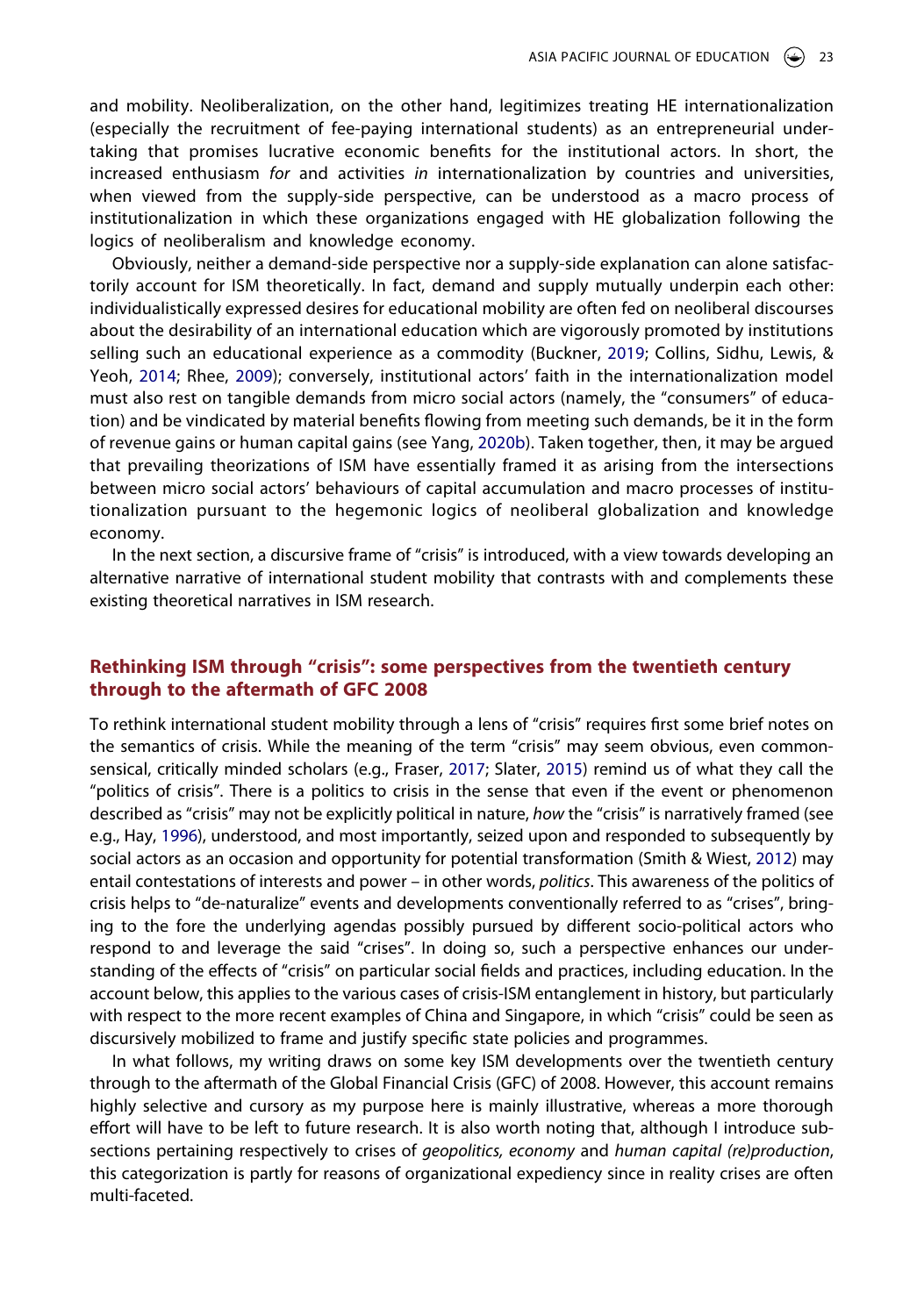and mobility. Neoliberalization, on the other hand, legitimizes treating HE internationalization (especially the recruitment of fee-paying international students) as an entrepreneurial undertaking that promises lucrative economic benefits for the institutional actors. In short, the increased enthusiasm *for* and activities *in* internationalization by countries and universities, when viewed from the supply-side perspective, can be understood as a macro process of institutionalization in which these organizations engaged with HE globalization following the logics of neoliberalism and knowledge economy.

<span id="page-4-0"></span>Obviously, neither a demand-side perspective nor a supply-side explanation can alone satisfactorily account for ISM theoretically. In fact, demand and supply mutually underpin each other: individualistically expressed desires for educational mobility are often fed on neoliberal discourses about the desirability of an international education which are vigorously promoted by institutions selling such an educational experience as a commodity (Buckner, [2019](#page-11-8); Collins, Sidhu, Lewis, & Yeoh, [2014](#page-12-16); Rhee, [2009\)](#page-13-10); conversely, institutional actors' faith in the internationalization model must also rest on tangible demands from micro social actors (namely, the "consumers" of education) and be vindicated by material benefits flowing from meeting such demands, be it in the form of revenue gains or human capital gains (see Yang, [2020b\)](#page-14-4). Taken together, then, it may be argued that prevailing theorizations of ISM have essentially framed it as arising from the intersections between micro social actors' behaviours of capital accumulation and macro processes of institutionalization pursuant to the hegemonic logics of neoliberal globalization and knowledge economy.

In the next section, a discursive frame of "crisis" is introduced, with a view towards developing an alternative narrative of international student mobility that contrasts with and complements these existing theoretical narratives in ISM research.

## **Rethinking ISM through "crisis": some perspectives from the twentieth century through to the aftermath of GFC 2008**

<span id="page-4-3"></span><span id="page-4-2"></span><span id="page-4-1"></span>To rethink international student mobility through a lens of "crisis" requires first some brief notes on the semantics of crisis. While the meaning of the term "crisis" may seem obvious, even commonsensical, critically minded scholars (e.g., Fraser, [2017](#page-12-17); Slater, [2015](#page-13-11)) remind us of what they call the "politics of crisis". There is a politics to crisis in the sense that even if the event or phenomenon described as "crisis" may not be explicitly political in nature, *how* the "crisis" is narratively framed (see e.g., Hay, [1996\)](#page-12-18), understood, and most importantly, seized upon and responded to subsequently by social actors as an occasion and opportunity for potential transformation (Smith & Wiest, [2012](#page-13-12)) may entail contestations of interests and power – in other words, *politics*. This awareness of the politics of crisis helps to "de-naturalize" events and developments conventionally referred to as "crises", bringing to the fore the underlying agendas possibly pursued by different socio-political actors who respond to and leverage the said "crises". In doing so, such a perspective enhances our understanding of the effects of "crisis" on particular social fields and practices, including education. In the account below, this applies to the various cases of crisis-ISM entanglement in history, but particularly with respect to the more recent examples of China and Singapore, in which "crisis" could be seen as discursively mobilized to frame and justify specific state policies and programmes.

In what follows, my writing draws on some key ISM developments over the twentieth century through to the aftermath of the Global Financial Crisis (GFC) of 2008. However, this account remains highly selective and cursory as my purpose here is mainly illustrative, whereas a more thorough effort will have to be left to future research. It is also worth noting that, although I introduce subsections pertaining respectively to crises of *geopolitics, economy* and *human capital (re)production*, this categorization is partly for reasons of organizational expediency since in reality crises are often multi-faceted.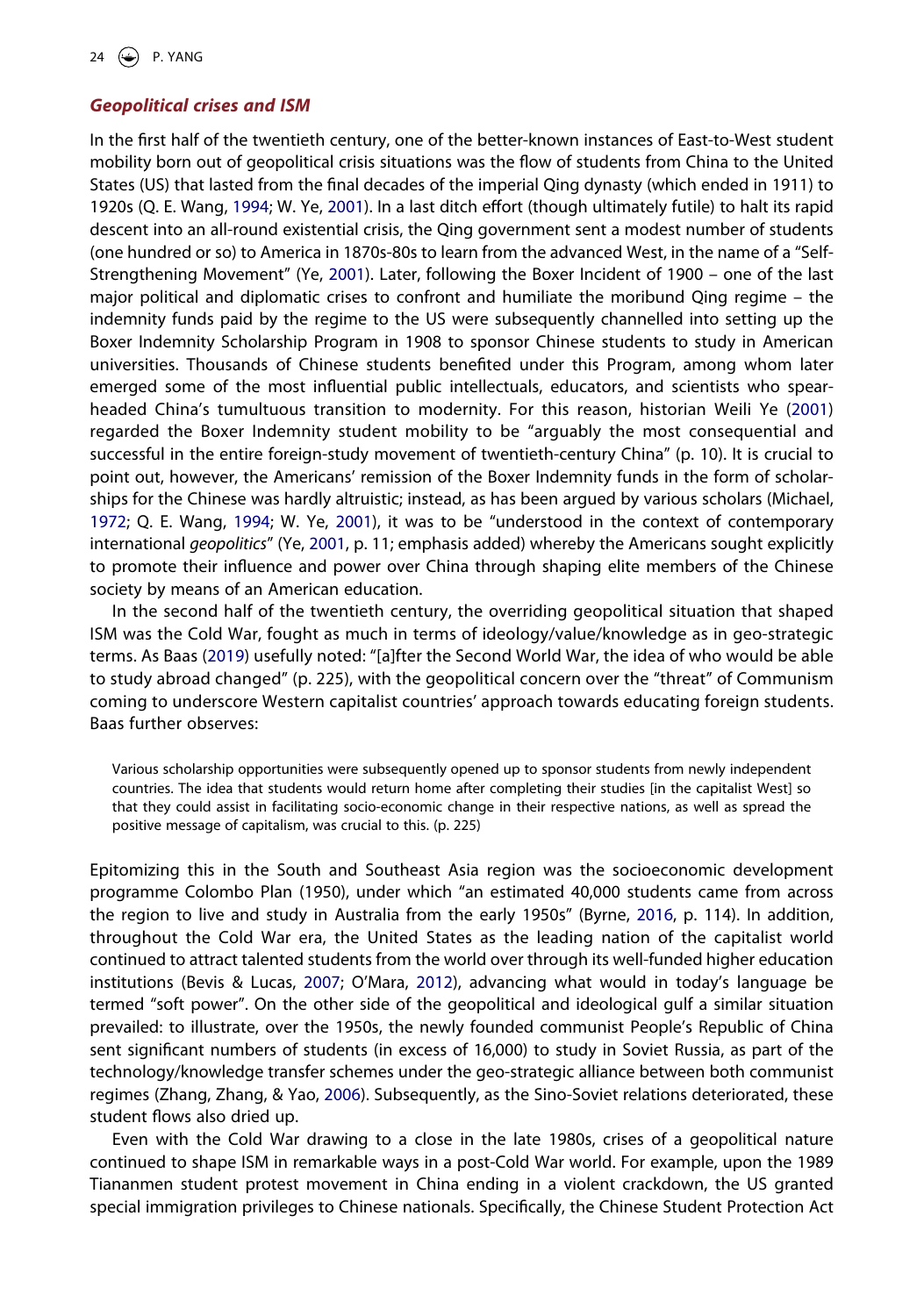### *Geopolitical crises and ISM*

In the first half of the twentieth century, one of the better-known instances of East-to-West student mobility born out of geopolitical crisis situations was the flow of students from China to the United States (US) that lasted from the final decades of the imperial Qing dynasty (which ended in 1911) to 1920s (Q. E. Wang, [1994;](#page-13-13) W. Ye, [2001](#page-14-8)). In a last ditch effort (though ultimately futile) to halt its rapid descent into an all-round existential crisis, the Qing government sent a modest number of students (one hundred or so) to America in 1870s-80s to learn from the advanced West, in the name of a "Self-Strengthening Movement" (Ye, [2001](#page-14-8)). Later, following the Boxer Incident of 1900 – one of the last major political and diplomatic crises to confront and humiliate the moribund Qing regime – the indemnity funds paid by the regime to the US were subsequently channelled into setting up the Boxer Indemnity Scholarship Program in 1908 to sponsor Chinese students to study in American universities. Thousands of Chinese students benefited under this Program, among whom later emerged some of the most influential public intellectuals, educators, and scientists who spearheaded China's tumultuous transition to modernity. For this reason, historian Weili Ye ([2001\)](#page-14-8) regarded the Boxer Indemnity student mobility to be "arguably the most consequential and successful in the entire foreign-study movement of twentieth-century China" (p. 10). It is crucial to point out, however, the Americans' remission of the Boxer Indemnity funds in the form of scholarships for the Chinese was hardly altruistic; instead, as has been argued by various scholars (Michael, [1972;](#page-12-19) Q. E. Wang, [1994](#page-13-13); W. Ye, [2001\)](#page-14-8), it was to be "understood in the context of contemporary international *geopolitics*" (Ye, [2001,](#page-14-8) p. 11; emphasis added) whereby the Americans sought explicitly to promote their influence and power over China through shaping elite members of the Chinese society by means of an American education.

<span id="page-5-5"></span><span id="page-5-4"></span><span id="page-5-3"></span><span id="page-5-0"></span>In the second half of the twentieth century, the overriding geopolitical situation that shaped ISM was the Cold War, fought as much in terms of ideology/value/knowledge as in geo-strategic terms. As Baas ([2019\)](#page-11-10) usefully noted: "[a]fter the Second World War, the idea of who would be able to study abroad changed" (p. 225), with the geopolitical concern over the "threat" of Communism coming to underscore Western capitalist countries' approach towards educating foreign students. Baas further observes:

Various scholarship opportunities were subsequently opened up to sponsor students from newly independent countries. The idea that students would return home after completing their studies [in the capitalist West] so that they could assist in facilitating socio-economic change in their respective nations, as well as spread the positive message of capitalism, was crucial to this. (p. 225)

<span id="page-5-2"></span><span id="page-5-1"></span>Epitomizing this in the South and Southeast Asia region was the socioeconomic development programme Colombo Plan (1950), under which "an estimated 40,000 students came from across the region to live and study in Australia from the early 1950s" (Byrne, [2016,](#page-11-11) p. 114). In addition, throughout the Cold War era, the United States as the leading nation of the capitalist world continued to attract talented students from the world over through its well-funded higher education institutions (Bevis & Lucas, [2007;](#page-11-12) O'Mara, [2012\)](#page-13-14), advancing what would in today's language be termed "soft power". On the other side of the geopolitical and ideological gulf a similar situation prevailed: to illustrate, over the 1950s, the newly founded communist People's Republic of China sent significant numbers of students (in excess of 16,000) to study in Soviet Russia, as part of the technology/knowledge transfer schemes under the geo-strategic alliance between both communist regimes (Zhang, Zhang, & Yao, [2006\)](#page-14-9). Subsequently, as the Sino-Soviet relations deteriorated, these student flows also dried up.

<span id="page-5-6"></span>Even with the Cold War drawing to a close in the late 1980s, crises of a geopolitical nature continued to shape ISM in remarkable ways in a post-Cold War world. For example, upon the 1989 Tiananmen student protest movement in China ending in a violent crackdown, the US granted special immigration privileges to Chinese nationals. Specifically, the Chinese Student Protection Act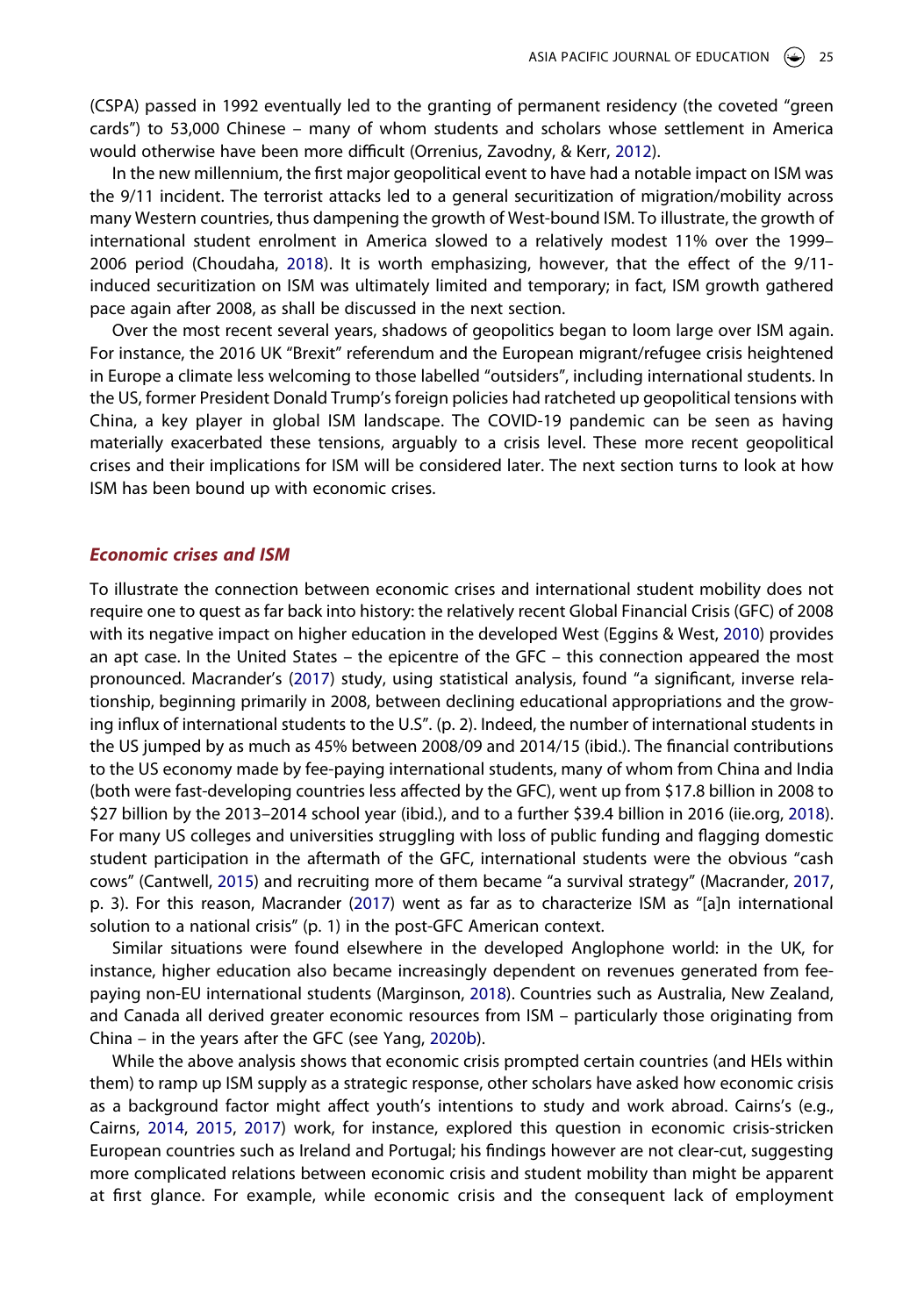(CSPA) passed in 1992 eventually led to the granting of permanent residency (the coveted "green cards") to 53,000 Chinese – many of whom students and scholars whose settlement in America would otherwise have been more difficult (Orrenius, Zavodny, & Kerr, [2012](#page-13-15)).

<span id="page-6-5"></span>In the new millennium, the first major geopolitical event to have had a notable impact on ISM was the 9/11 incident. The terrorist attacks led to a general securitization of migration/mobility across many Western countries, thus dampening the growth of West-bound ISM. To illustrate, the growth of international student enrolment in America slowed to a relatively modest 11% over the 1999– 2006 period (Choudaha, [2018\)](#page-12-7). It is worth emphasizing, however, that the effect of the 9/11 induced securitization on ISM was ultimately limited and temporary; in fact, ISM growth gathered pace again after 2008, as shall be discussed in the next section.

Over the most recent several years, shadows of geopolitics began to loom large over ISM again. For instance, the 2016 UK "Brexit" referendum and the European migrant/refugee crisis heightened in Europe a climate less welcoming to those labelled "outsiders", including international students. In the US, former President Donald Trump's foreign policies had ratcheted up geopolitical tensions with China, a key player in global ISM landscape. The COVID-19 pandemic can be seen as having materially exacerbated these tensions, arguably to a crisis level. These more recent geopolitical crises and their implications for ISM will be considered later. The next section turns to look at how ISM has been bound up with economic crises.

#### *Economic crises and ISM*

<span id="page-6-1"></span>To illustrate the connection between economic crises and international student mobility does not require one to quest as far back into history: the relatively recent Global Financial Crisis (GFC) of 2008 with its negative impact on higher education in the developed West (Eggins & West, [2010\)](#page-12-20) provides an apt case. In the United States – the epicentre of the GFC – this connection appeared the most pronounced. Macrander's ([2017](#page-12-21)) study, using statistical analysis, found "a significant, inverse relationship, beginning primarily in 2008, between declining educational appropriations and the growing influx of international students to the U.S". (p. 2). Indeed, the number of international students in the US jumped by as much as 45% between 2008/09 and 2014/15 (ibid.). The financial contributions to the US economy made by fee-paying international students, many of whom from China and India (both were fast-developing countries less affected by the GFC), went up from \$17.8 billion in 2008 to \$27 billion by the 2013–2014 school year (ibid.), and to a further \$39.4 billion in 2016 (iie.org, [2018\)](#page-12-22). For many US colleges and universities struggling with loss of public funding and flagging domestic student participation in the aftermath of the GFC, international students were the obvious "cash cows" (Cantwell, [2015\)](#page-12-3) and recruiting more of them became "a survival strategy" (Macrander, [2017](#page-12-21), p. 3). For this reason, Macrander ([2017](#page-12-21)) went as far as to characterize ISM as "[a]n international solution to a national crisis" (p. 1) in the post-GFC American context.

<span id="page-6-4"></span><span id="page-6-3"></span><span id="page-6-2"></span>Similar situations were found elsewhere in the developed Anglophone world: in the UK, for instance, higher education also became increasingly dependent on revenues generated from feepaying non-EU international students (Marginson, [2018](#page-12-23)). Countries such as Australia, New Zealand, and Canada all derived greater economic resources from ISM – particularly those originating from China – in the years after the GFC (see Yang, [2020b](#page-14-4)).

<span id="page-6-0"></span>While the above analysis shows that economic crisis prompted certain countries (and HEIs within them) to ramp up ISM supply as a strategic response, other scholars have asked how economic crisis as a background factor might affect youth's intentions to study and work abroad. Cairns's (e.g., Cairns, [2014,](#page-11-13) [2015](#page-11-14), [2017](#page-11-15)) work, for instance, explored this question in economic crisis-stricken European countries such as Ireland and Portugal; his findings however are not clear-cut, suggesting more complicated relations between economic crisis and student mobility than might be apparent at first glance. For example, while economic crisis and the consequent lack of employment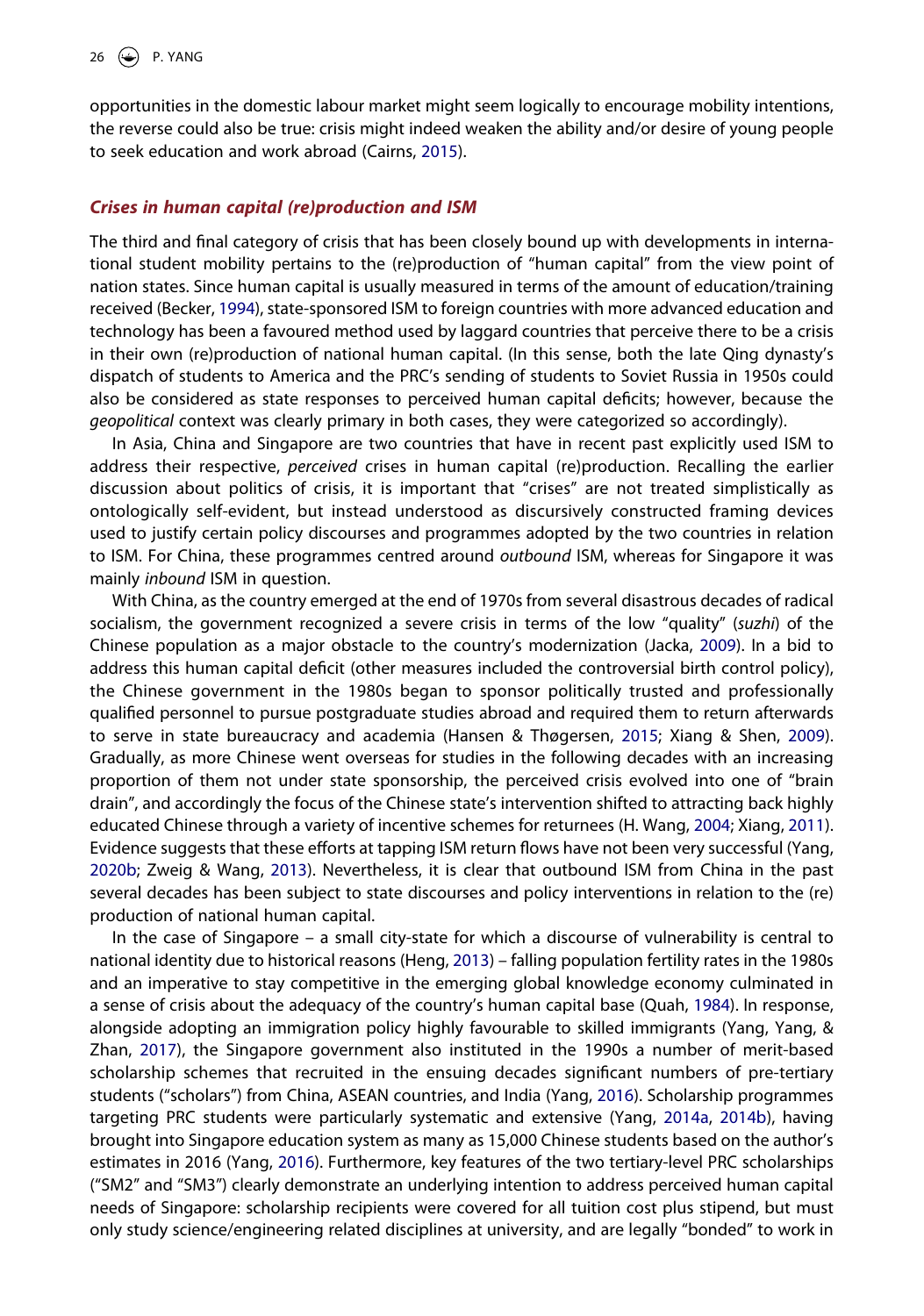opportunities in the domestic labour market might seem logically to encourage mobility intentions, the reverse could also be true: crisis might indeed weaken the ability and/or desire of young people to seek education and work abroad (Cairns, [2015\)](#page-11-14).

#### *Crises in human capital (re)production and ISM*

<span id="page-7-0"></span>The third and final category of crisis that has been closely bound up with developments in international student mobility pertains to the (re)production of "human capital" from the view point of nation states. Since human capital is usually measured in terms of the amount of education/training received (Becker, [1994](#page-11-16)), state-sponsored ISM to foreign countries with more advanced education and technology has been a favoured method used by laggard countries that perceive there to be a crisis in their own (re)production of national human capital. (In this sense, both the late Qing dynasty's dispatch of students to America and the PRC's sending of students to Soviet Russia in 1950s could also be considered as state responses to perceived human capital deficits; however, because the *geopolitical* context was clearly primary in both cases, they were categorized so accordingly).

In Asia, China and Singapore are two countries that have in recent past explicitly used ISM to address their respective, *perceived* crises in human capital (re)production. Recalling the earlier discussion about politics of crisis, it is important that "crises" are not treated simplistically as ontologically self-evident, but instead understood as discursively constructed framing devices used to justify certain policy discourses and programmes adopted by the two countries in relation to ISM. For China, these programmes centred around *outbound* ISM, whereas for Singapore it was mainly *inbound* ISM in question.

<span id="page-7-3"></span><span id="page-7-1"></span>With China, as the country emerged at the end of 1970s from several disastrous decades of radical socialism, the government recognized a severe crisis in terms of the low "quality" (*suzhi*) of the Chinese population as a major obstacle to the country's modernization (Jacka, [2009](#page-12-24)). In a bid to address this human capital deficit (other measures included the controversial birth control policy), the Chinese government in the 1980s began to sponsor politically trusted and professionally qualified personnel to pursue postgraduate studies abroad and required them to return afterwards to serve in state bureaucracy and academia (Hansen & Thøgersen, [2015;](#page-12-25) Xiang & Shen, [2009\)](#page-14-3). Gradually, as more Chinese went overseas for studies in the following decades with an increasing proportion of them not under state sponsorship, the perceived crisis evolved into one of "brain drain", and accordingly the focus of the Chinese state's intervention shifted to attracting back highly educated Chinese through a variety of incentive schemes for returnees (H. Wang, [2004](#page-13-16); Xiang, [2011\)](#page-14-10). Evidence suggests that these efforts at tapping ISM return flows have not been very successful (Yang, [2020b;](#page-14-4) Zweig & Wang, [2013](#page-14-11)). Nevertheless, it is clear that outbound ISM from China in the past several decades has been subject to state discourses and policy interventions in relation to the (re) production of national human capital.

<span id="page-7-9"></span><span id="page-7-8"></span><span id="page-7-7"></span><span id="page-7-6"></span><span id="page-7-5"></span><span id="page-7-4"></span><span id="page-7-2"></span>In the case of Singapore – a small city-state for which a discourse of vulnerability is central to national identity due to historical reasons (Heng, [2013](#page-12-26)) – falling population fertility rates in the 1980s and an imperative to stay competitive in the emerging global knowledge economy culminated in a sense of crisis about the adequacy of the country's human capital base (Quah, [1984\)](#page-13-17). In response, alongside adopting an immigration policy highly favourable to skilled immigrants (Yang, Yang, & Zhan, [2017](#page-14-12)), the Singapore government also instituted in the 1990s a number of merit-based scholarship schemes that recruited in the ensuing decades significant numbers of pre-tertiary students ("scholars") from China, ASEAN countries, and India (Yang, [2016\)](#page-14-13). Scholarship programmes targeting PRC students were particularly systematic and extensive (Yang, [2014a,](#page-14-14) [2014b](#page-14-15)), having brought into Singapore education system as many as 15,000 Chinese students based on the author's estimates in 2016 (Yang, [2016\)](#page-14-13). Furthermore, key features of the two tertiary-level PRC scholarships ("SM2" and "SM3") clearly demonstrate an underlying intention to address perceived human capital needs of Singapore: scholarship recipients were covered for all tuition cost plus stipend, but must only study science/engineering related disciplines at university, and are legally "bonded" to work in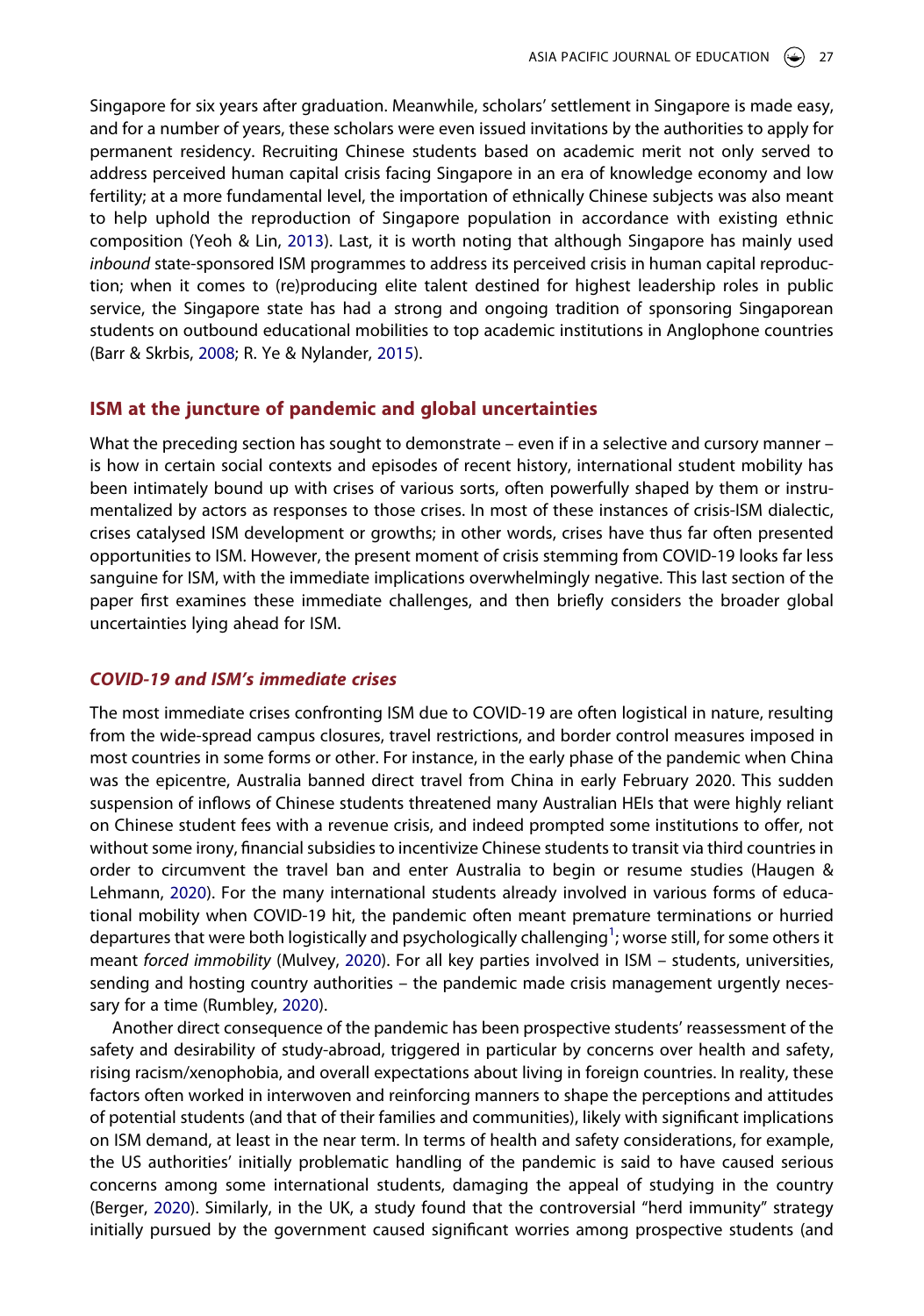<span id="page-8-5"></span>Singapore for six years after graduation. Meanwhile, scholars' settlement in Singapore is made easy, and for a number of years, these scholars were even issued invitations by the authorities to apply for permanent residency. Recruiting Chinese students based on academic merit not only served to address perceived human capital crisis facing Singapore in an era of knowledge economy and low fertility; at a more fundamental level, the importation of ethnically Chinese subjects was also meant to help uphold the reproduction of Singapore population in accordance with existing ethnic composition (Yeoh & Lin, [2013](#page-14-16)). Last, it is worth noting that although Singapore has mainly used *inbound* state-sponsored ISM programmes to address its perceived crisis in human capital reproduction; when it comes to (re)producing elite talent destined for highest leadership roles in public service, the Singapore state has had a strong and ongoing tradition of sponsoring Singaporean students on outbound educational mobilities to top academic institutions in Anglophone countries (Barr & Skrbis, [2008](#page-11-17); R. Ye & Nylander, [2015\)](#page-14-17).

#### <span id="page-8-0"></span>**ISM at the juncture of pandemic and global uncertainties**

What the preceding section has sought to demonstrate – even if in a selective and cursory manner – is how in certain social contexts and episodes of recent history, international student mobility has been intimately bound up with crises of various sorts, often powerfully shaped by them or instrumentalized by actors as responses to those crises. In most of these instances of crisis-ISM dialectic, crises catalysed ISM development or growths; in other words, crises have thus far often presented opportunities to ISM. However, the present moment of crisis stemming from COVID-19 looks far less sanguine for ISM, with the immediate implications overwhelmingly negative. This last section of the paper first examines these immediate challenges, and then briefly considers the broader global uncertainties lying ahead for ISM.

#### *COVID-19 and ISM's immediate crises*

The most immediate crises confronting ISM due to COVID-19 are often logistical in nature, resulting from the wide-spread campus closures, travel restrictions, and border control measures imposed in most countries in some forms or other. For instance, in the early phase of the pandemic when China was the epicentre, Australia banned direct travel from China in early February 2020. This sudden suspension of inflows of Chinese students threatened many Australian HEIs that were highly reliant on Chinese student fees with a revenue crisis, and indeed prompted some institutions to offer, not without some irony, financial subsidies to incentivize Chinese students to transit via third countries in order to circumvent the travel ban and enter Australia to begin or resume studies (Haugen & Lehmann, [2020](#page-12-27)). For the many international students already involved in various forms of educational mobility when COVID-19 hit, the pandemic often meant premature terminations or hurried departures that were both logistically and psychologically challenging<sup>[1](#page-10-0)</sup>; worse still, for some others it meant *forced immobility* (Mulvey, [2020\)](#page-13-18). For all key parties involved in ISM – students, universities, sending and hosting country authorities – the pandemic made crisis management urgently necessary for a time (Rumbley, [2020](#page-13-19)).

<span id="page-8-4"></span><span id="page-8-3"></span><span id="page-8-2"></span><span id="page-8-1"></span>Another direct consequence of the pandemic has been prospective students' reassessment of the safety and desirability of study-abroad, triggered in particular by concerns over health and safety, rising racism/xenophobia, and overall expectations about living in foreign countries. In reality, these factors often worked in interwoven and reinforcing manners to shape the perceptions and attitudes of potential students (and that of their families and communities), likely with significant implications on ISM demand, at least in the near term. In terms of health and safety considerations, for example, the US authorities' initially problematic handling of the pandemic is said to have caused serious concerns among some international students, damaging the appeal of studying in the country (Berger, [2020\)](#page-11-18). Similarly, in the UK, a study found that the controversial "herd immunity" strategy initially pursued by the government caused significant worries among prospective students (and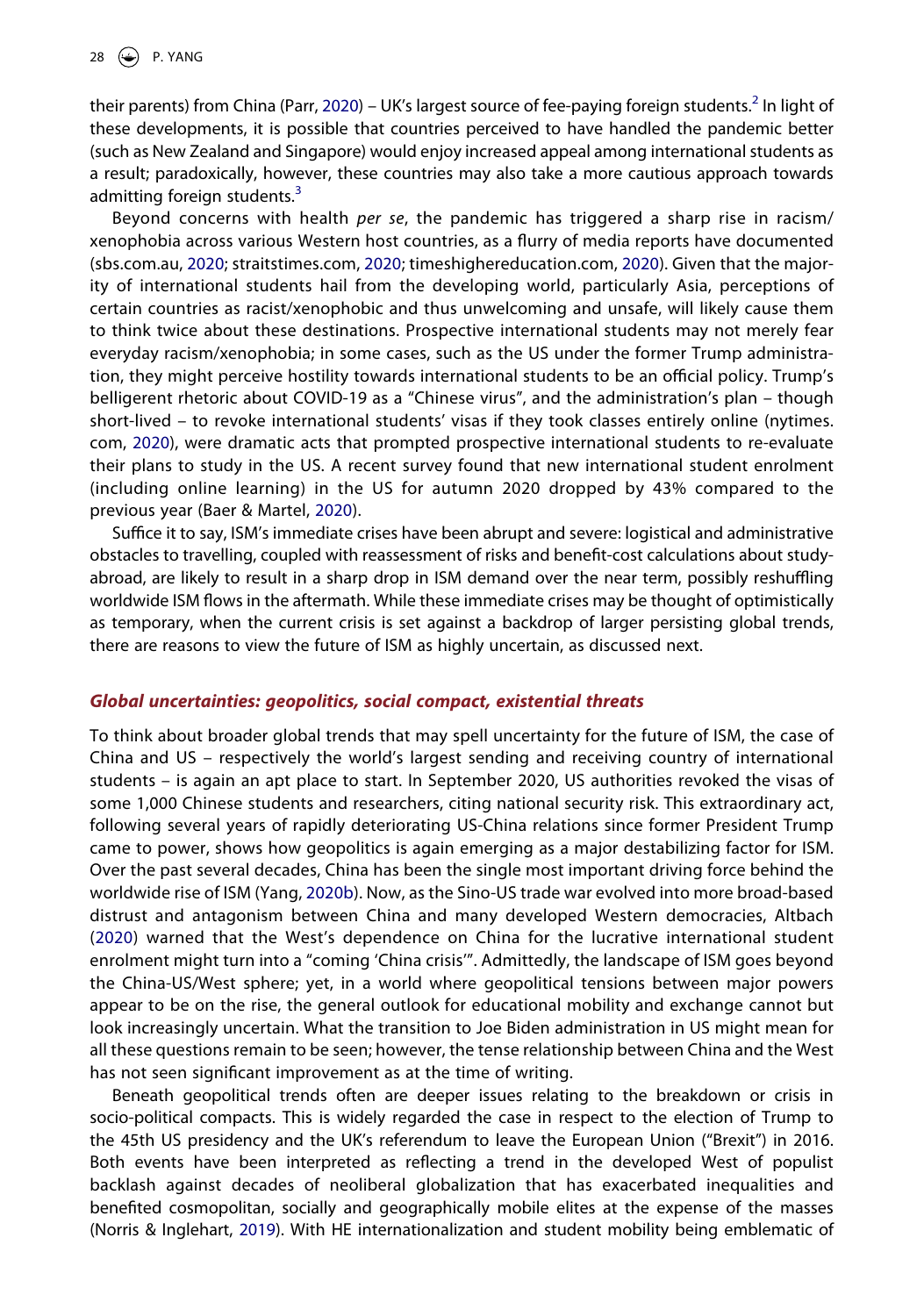<span id="page-9-4"></span>their parents) from China (Parr, [2020\)](#page-13-20) – UK's largest source of fee-paying foreign students.<sup>[2](#page-10-1)</sup> In light of these developments, it is possible that countries perceived to have handled the pandemic better (such as New Zealand and Singapore) would enjoy increased appeal among international students as a result; paradoxically, however, these countries may also take a more cautious approach towards admitting foreign students. $3$ 

<span id="page-9-5"></span>Beyond concerns with health *per se*, the pandemic has triggered a sharp rise in racism/ xenophobia across various Western host countries, as a flurry of media reports have documented (sbs.com.au, [2020;](#page-13-21) straitstimes.com, [2020](#page-13-22); timeshighereducation.com, [2020](#page-13-23)). Given that the majority of international students hail from the developing world, particularly Asia, perceptions of certain countries as racist/xenophobic and thus unwelcoming and unsafe, will likely cause them to think twice about these destinations. Prospective international students may not merely fear everyday racism/xenophobia; in some cases, such as the US under the former Trump administration, they might perceive hostility towards international students to be an official policy. Trump's belligerent rhetoric about COVID-19 as a "Chinese virus", and the administration's plan – though short-lived – to revoke international students' visas if they took classes entirely online (nytimes. com, [2020\)](#page-13-24), were dramatic acts that prompted prospective international students to re-evaluate their plans to study in the US. A recent survey found that new international student enrolment (including online learning) in the US for autumn 2020 dropped by 43% compared to the previous year (Baer & Martel, [2020](#page-11-19)).

<span id="page-9-3"></span><span id="page-9-1"></span>Suffice it to say, ISM's immediate crises have been abrupt and severe: logistical and administrative obstacles to travelling, coupled with reassessment of risks and benefit-cost calculations about studyabroad, are likely to result in a sharp drop in ISM demand over the near term, possibly reshuffling worldwide ISM flows in the aftermath. While these immediate crises may be thought of optimistically as temporary, when the current crisis is set against a backdrop of larger persisting global trends, there are reasons to view the future of ISM as highly uncertain, as discussed next.

#### *Global uncertainties: geopolitics, social compact, existential threats*

To think about broader global trends that may spell uncertainty for the future of ISM, the case of China and US – respectively the world's largest sending and receiving country of international students – is again an apt place to start. In September 2020, US authorities revoked the visas of some 1,000 Chinese students and researchers, citing national security risk. This extraordinary act, following several years of rapidly deteriorating US-China relations since former President Trump came to power, shows how geopolitics is again emerging as a major destabilizing factor for ISM. Over the past several decades, China has been the single most important driving force behind the worldwide rise of ISM (Yang, [2020b\)](#page-14-4). Now, as the Sino-US trade war evolved into more broad-based distrust and antagonism between China and many developed Western democracies, Altbach ([2020](#page-11-20)) warned that the West's dependence on China for the lucrative international student enrolment might turn into a "coming 'China crisis'". Admittedly, the landscape of ISM goes beyond the China-US/West sphere; yet, in a world where geopolitical tensions between major powers appear to be on the rise, the general outlook for educational mobility and exchange cannot but look increasingly uncertain. What the transition to Joe Biden administration in US might mean for all these questions remain to be seen; however, the tense relationship between China and the West has not seen significant improvement as at the time of writing.

<span id="page-9-2"></span><span id="page-9-0"></span>Beneath geopolitical trends often are deeper issues relating to the breakdown or crisis in socio-political compacts. This is widely regarded the case in respect to the election of Trump to the 45th US presidency and the UK's referendum to leave the European Union ("Brexit") in 2016. Both events have been interpreted as reflecting a trend in the developed West of populist backlash against decades of neoliberal globalization that has exacerbated inequalities and benefited cosmopolitan, socially and geographically mobile elites at the expense of the masses (Norris & Inglehart, [2019](#page-13-25)). With HE internationalization and student mobility being emblematic of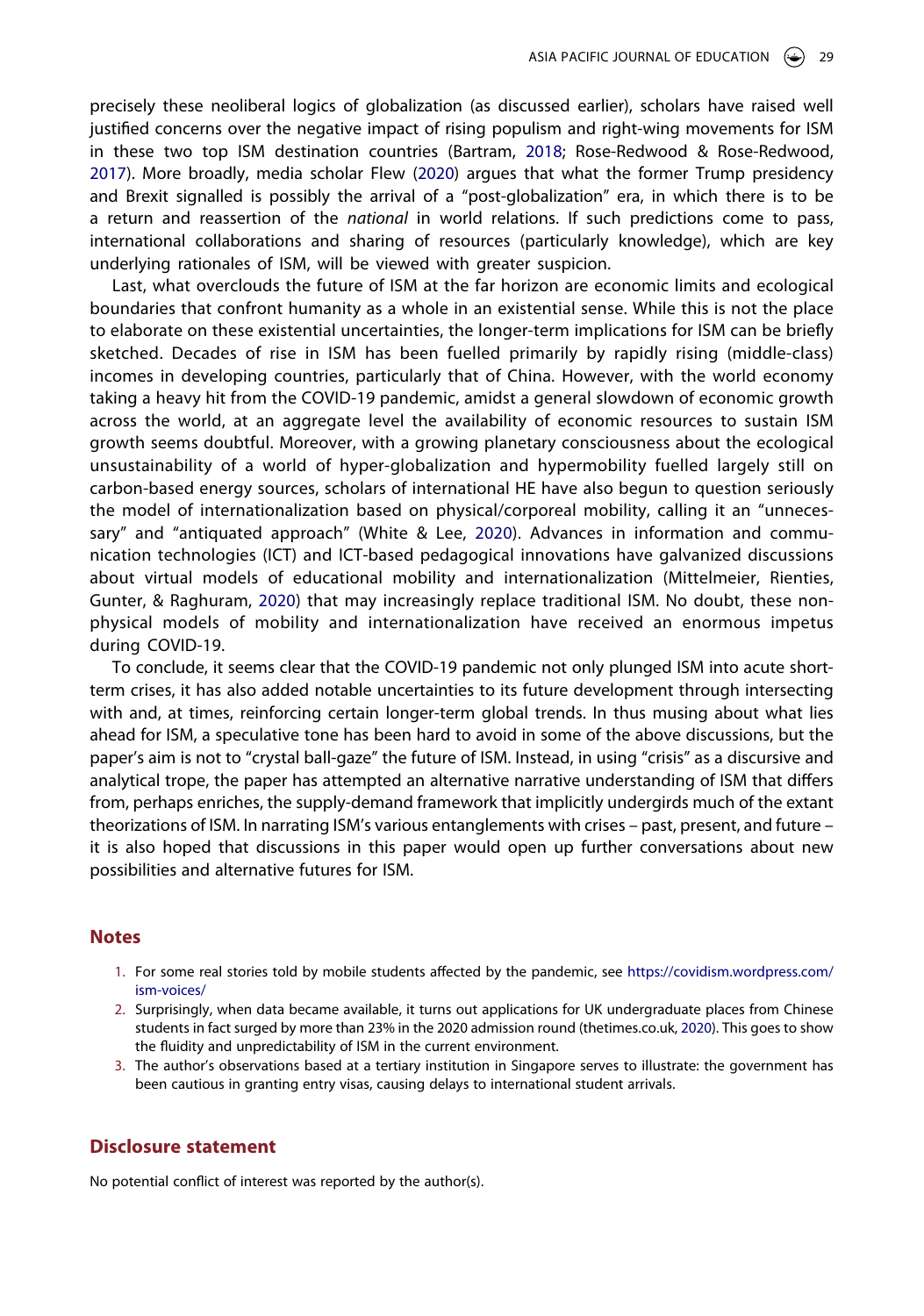<span id="page-10-3"></span>precisely these neoliberal logics of globalization (as discussed earlier), scholars have raised well justified concerns over the negative impact of rising populism and right-wing movements for ISM in these two top ISM destination countries (Bartram, [2018](#page-11-21); Rose-Redwood & Rose-Redwood, [2017\)](#page-13-26). More broadly, media scholar Flew [\(2020\)](#page-12-9) argues that what the former Trump presidency and Brexit signalled is possibly the arrival of a "post-globalization" era, in which there is to be a return and reassertion of the *national* in world relations. If such predictions come to pass, international collaborations and sharing of resources (particularly knowledge), which are key underlying rationales of ISM, will be viewed with greater suspicion.

Last, what overclouds the future of ISM at the far horizon are economic limits and ecological boundaries that confront humanity as a whole in an existential sense. While this is not the place to elaborate on these existential uncertainties, the longer-term implications for ISM can be briefly sketched. Decades of rise in ISM has been fuelled primarily by rapidly rising (middle-class) incomes in developing countries, particularly that of China. However, with the world economy taking a heavy hit from the COVID-19 pandemic, amidst a general slowdown of economic growth across the world, at an aggregate level the availability of economic resources to sustain ISM growth seems doubtful. Moreover, with a growing planetary consciousness about the ecological unsustainability of a world of hyper-globalization and hypermobility fuelled largely still on carbon-based energy sources, scholars of international HE have also begun to question seriously the model of internationalization based on physical/corporeal mobility, calling it an "unnecessary" and "antiquated approach" (White & Lee, [2020\)](#page-14-18). Advances in information and communication technologies (ICT) and ICT-based pedagogical innovations have galvanized discussions about virtual models of educational mobility and internationalization (Mittelmeier, Rienties, Gunter, & Raghuram, [2020\)](#page-12-28) that may increasingly replace traditional ISM. No doubt, these nonphysical models of mobility and internationalization have received an enormous impetus during COVID-19.

<span id="page-10-6"></span><span id="page-10-4"></span>To conclude, it seems clear that the COVID-19 pandemic not only plunged ISM into acute shortterm crises, it has also added notable uncertainties to its future development through intersecting with and, at times, reinforcing certain longer-term global trends. In thus musing about what lies ahead for ISM, a speculative tone has been hard to avoid in some of the above discussions, but the paper's aim is not to "crystal ball-gaze" the future of ISM. Instead, in using "crisis" as a discursive and analytical trope, the paper has attempted an alternative narrative understanding of ISM that differs from, perhaps enriches, the supply-demand framework that implicitly undergirds much of the extant theorizations of ISM. In narrating ISM's various entanglements with crises – past, present, and future – it is also hoped that discussions in this paper would open up further conversations about new possibilities and alternative futures for ISM.

#### **Notes**

- <span id="page-10-0"></span>1. For some real stories told by mobile students affected by the pandemic, see [https://covidism.wordpress.com/](https://covidism.wordpress.com/ism-voices/) [ism-voices/](https://covidism.wordpress.com/ism-voices/)
- <span id="page-10-5"></span><span id="page-10-1"></span>2. Surprisingly, when data became available, it turns out applications for UK undergraduate places from Chinese students in fact surged by more than 23% in the 2020 admission round (thetimes.co.uk, [2020](#page-13-27)). This goes to show the fluidity and unpredictability of ISM in the current environment.
- <span id="page-10-2"></span>3. The author's observations based at a tertiary institution in Singapore serves to illustrate: the government has been cautious in granting entry visas, causing delays to international student arrivals.

#### **Disclosure statement**

No potential conflict of interest was reported by the author(s).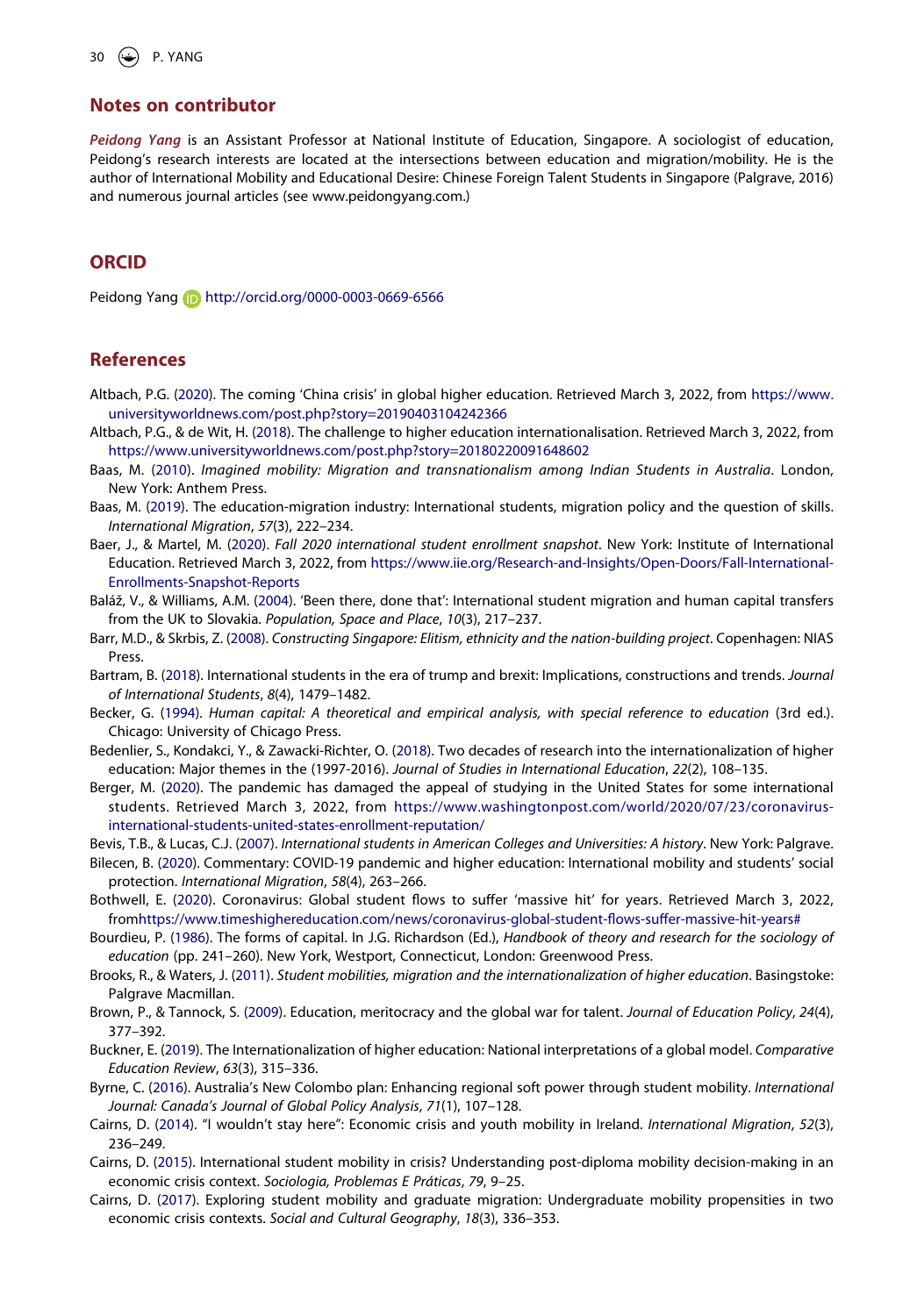#### **Notes on contributor**

*Peidong Yang* is an Assistant Professor at National Institute of Education, Singapore. A sociologist of education, Peidong's research interests are located at the intersections between education and migration/mobility. He is the author of International Mobility and Educational Desire: Chinese Foreign Talent Students in Singapore (Palgrave, 2016) and numerous journal articles (see www.peidongyang.com.)

# **ORCID**

Peidong Yang **in** http://orcid.org/0000-0003-0669-6566

#### **References**

- <span id="page-11-20"></span>Altbach, P.G. [\(2020\)](#page-9-0). The coming 'China crisis' in global higher education. Retrieved March 3, 2022, from [https://www.](https://www.universityworldnews.com/post.php?story=20190403104242366) [universityworldnews.com/post.php?story=20190403104242366](https://www.universityworldnews.com/post.php?story=20190403104242366)
- <span id="page-11-2"></span>Altbach, P.G., & de Wit, H. ([2018](#page-2-0)). The challenge to higher education internationalisation. Retrieved March 3, 2022, from <https://www.universityworldnews.com/post.php?story=20180220091648602>
- <span id="page-11-4"></span>Baas, M. [\(2010\)](#page-3-0). *Imagined mobility: Migration and transnationalism among Indian Students in Australia*. London, New York: Anthem Press.
- <span id="page-11-10"></span>Baas, M. [\(2019\)](#page-5-0). The education-migration industry: International students, migration policy and the question of skills. *International Migration*, *57*(3), 222–234.
- <span id="page-11-19"></span>Baer, J., & Martel, M. ([2020](#page-9-1)). *Fall 2020 international student enrollment snapshot*. New York: Institute of International Education. Retrieved March 3, 2022, from [https://www.iie.org/Research-and-Insights/Open-Doors/Fall-International-](https://www.iie.org/Research-and-Insights/Open-Doors/Fall-International-Enrollments-Snapshot-Reports)[Enrollments-Snapshot-Reports](https://www.iie.org/Research-and-Insights/Open-Doors/Fall-International-Enrollments-Snapshot-Reports)
- <span id="page-11-7"></span>Baláž, V., & Williams, A.M. ([2004](#page-3-1)). 'Been there, done that': International student migration and human capital transfers from the UK to Slovakia. *Population, Space and Place*, *10*(3), 217–237.
- <span id="page-11-17"></span>Barr, M.D., & Skrbis, Z. [\(2008\)](#page-8-0). *Constructing Singapore: Elitism, ethnicity and the nation-building project*. Copenhagen: NIAS Press.
- <span id="page-11-21"></span>Bartram, B. [\(2018\)](#page-10-3). International students in the era of trump and brexit: Implications, constructions and trends. *Journal of International Students*, *8*(4), 1479–1482.
- <span id="page-11-16"></span>Becker, G. ([1994](#page-7-0)). *Human capital: A theoretical and empirical analysis, with special reference to education (3rd ed.).* Chicago: University of Chicago Press.
- <span id="page-11-3"></span>Bedenlier, S., Kondakci, Y., & Zawacki-Richter, O. ([2018](#page-3-2)). Two decades of research into the internationalization of higher education: Major themes in the (1997-2016). *Journal of Studies in International Education*, *22*(2), 108–135.
- <span id="page-11-18"></span>Berger, M. [\(2020\)](#page-8-1). The pandemic has damaged the appeal of studying in the United States for some international students. Retrieved March 3, 2022, from [https://www.washingtonpost.com/world/2020/07/23/coronavirus](https://www.washingtonpost.com/world/2020/07/23/coronavirus-international-students-united-states-enrollment-reputation/)[international-students-united-states-enrollment-reputation/](https://www.washingtonpost.com/world/2020/07/23/coronavirus-international-students-united-states-enrollment-reputation/)
- <span id="page-11-12"></span>Bevis, T.B., & Lucas, C.J. [\(2007](#page-5-1)). *International students in American Colleges and Universities: A history*. New York: Palgrave.
- <span id="page-11-0"></span>Bilecen, B. [\(2020\)](#page-1-0). Commentary: COVID-19 pandemic and higher education: International mobility and students' social protection. *International Migration*, *58*(4), 263–266.
- <span id="page-11-1"></span>Bothwell, E. ([2020](#page-2-1)). Coronavirus: Global student flows to suffer 'massive hit' for years. Retrieved March 3, 2022, fro[mhttps://www.timeshighereducation.com/news/coronavirus-global-student-flows-suffer-massive-hit-years#](https://www.timeshighereducation.com/news/coronavirus-global-student-flows-suffer-massive-hit-years#)
- <span id="page-11-6"></span>Bourdieu, P. [\(1986\)](#page-3-3). The forms of capital. In J.G. Richardson (Ed.), *Handbook of theory and research for the sociology of education* (pp. 241–260). New York, Westport, Connecticut, London: Greenwood Press.
- <span id="page-11-5"></span>Brooks, R., & Waters, J. ([2011](#page-3-0)). *Student mobilities, migration and the internationalization of higher education*. Basingstoke: Palgrave Macmillan.
- <span id="page-11-9"></span>Brown, P., & Tannock, S. [\(2009\)](#page-3-4). Education, meritocracy and the global war for talent. *Journal of Education Policy*, *24*(4), 377–392.
- <span id="page-11-8"></span>Buckner, E. [\(2019](#page-3-5)). The Internationalization of higher education: National interpretations of a global model. *Comparative Education Review*, *63*(3), 315–336.
- <span id="page-11-11"></span>Byrne, C. ([2016](#page-5-2)). Australia's New Colombo plan: Enhancing regional soft power through student mobility. *International Journal: Canada's Journal of Global Policy Analysis*, *71*(1), 107–128.
- <span id="page-11-13"></span>Cairns, D. ([2014](#page-6-0)). "I wouldn't stay here": Economic crisis and youth mobility in Ireland. *International Migration*, *52*(3), 236–249.
- <span id="page-11-14"></span>Cairns, D. [\(2015\)](#page-6-0). International student mobility in crisis? Understanding post-diploma mobility decision-making in an economic crisis context. *Sociologia, Problemas E Práticas*, *79*, 9–25.
- <span id="page-11-15"></span>Cairns, D. [\(2017\)](#page-6-0). Exploring student mobility and graduate migration: Undergraduate mobility propensities in two economic crisis contexts. *Social and Cultural Geography*, *18*(3), 336–353.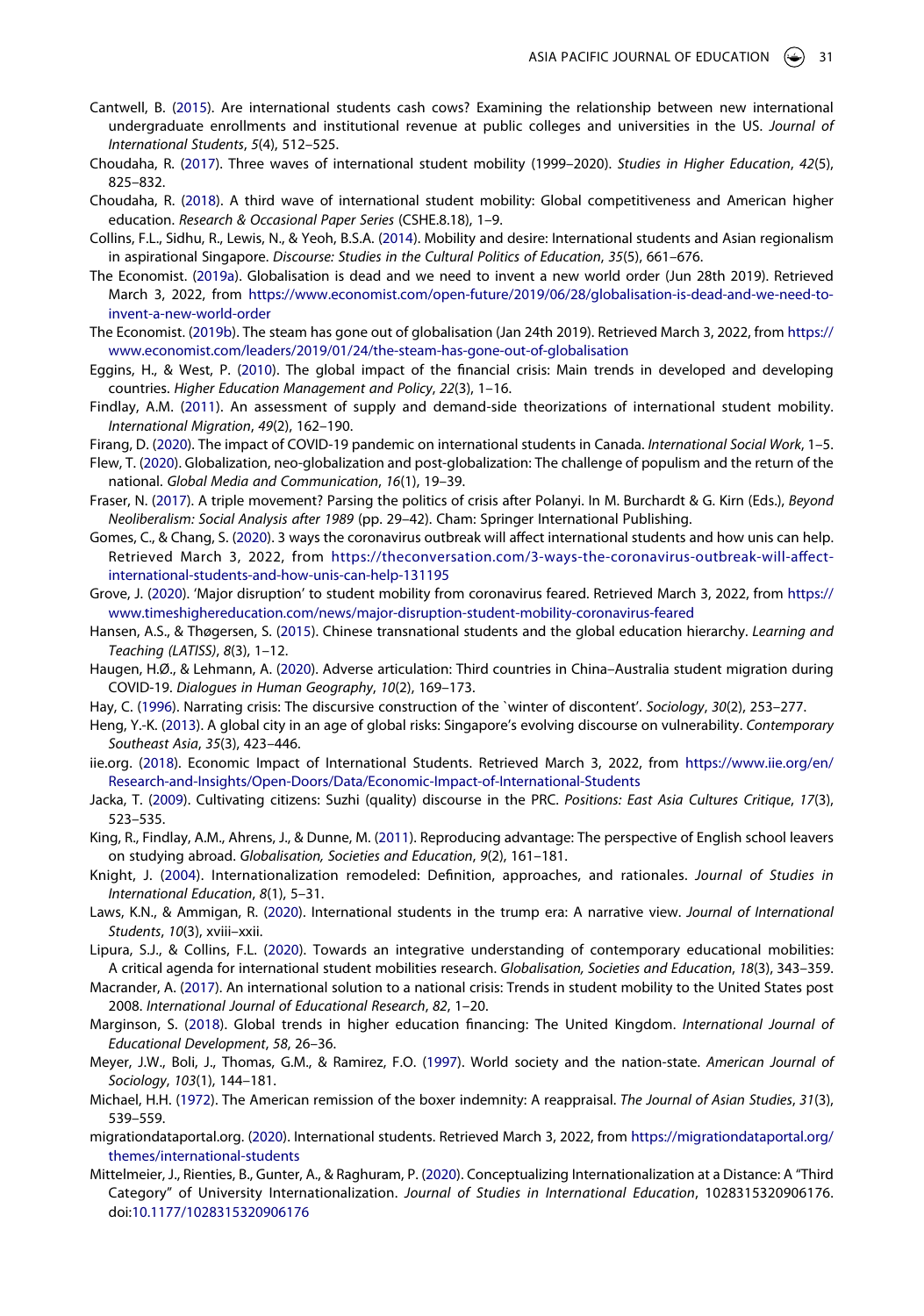- <span id="page-12-3"></span>Cantwell, B. [\(2015\)](#page-2-2). Are international students cash cows? Examining the relationship between new international undergraduate enrollments and institutional revenue at public colleges and universities in the US. *Journal of International Students*, *5*(4), 512–525.
- <span id="page-12-12"></span>Choudaha, R. ([2017](#page-3-6)). Three waves of international student mobility (1999–2020). *Studies in Higher Education*, *42*(5), 825–832.
- <span id="page-12-7"></span>Choudaha, R. ([2018](#page-2-3)). A third wave of international student mobility: Global competitiveness and American higher education. *Research & Occasional Paper Series* (CSHE.8.18), 1–9.
- <span id="page-12-16"></span>Collins, F.L., Sidhu, R., Lewis, N., & Yeoh, B.S.A. [\(2014\)](#page-4-0). Mobility and desire: International students and Asian regionalism in aspirational Singapore. *Discourse: Studies in the Cultural Politics of Education*, *35*(5), 661–676.
- <span id="page-12-5"></span>The Economist. [\(2019a](#page-2-4)). Globalisation is dead and we need to invent a new world order (Jun 28th 2019). Retrieved March 3, 2022, from [https://www.economist.com/open-future/2019/06/28/globalisation-is-dead-and-we-need-to](https://www.economist.com/open-future/2019/06/28/globalisation-is-dead-and-we-need-to-invent-a-new-world-order)[invent-a-new-world-order](https://www.economist.com/open-future/2019/06/28/globalisation-is-dead-and-we-need-to-invent-a-new-world-order)
- <span id="page-12-6"></span>The Economist. ([2019b\)](#page-2-4). The steam has gone out of globalisation (Jan 24th 2019). Retrieved March 3, 2022, from [https://](https://www.economist.com/leaders/2019/01/24/the-steam-has-gone-out-of-globalisation) [www.economist.com/leaders/2019/01/24/the-steam-has-gone-out-of-globalisation](https://www.economist.com/leaders/2019/01/24/the-steam-has-gone-out-of-globalisation)
- <span id="page-12-20"></span>Eggins, H., & West, P. ([2010](#page-6-1)). The global impact of the financial crisis: Main trends in developed and developing countries. *Higher Education Management and Policy*, *22*(3), 1–16.
- <span id="page-12-11"></span>Findlay, A.M. ([2011](#page-3-7)). An assessment of supply and demand-side theorizations of international student mobility. *International Migration*, *49*(2), 162–190.
- <span id="page-12-2"></span>Firang, D. ([2020](#page-1-1)). The impact of COVID-19 pandemic on international students in Canada. *International Social Work*, 1–5.
- <span id="page-12-9"></span>Flew, T. ([2020](#page-2-5)). Globalization, neo-globalization and post-globalization: The challenge of populism and the return of the national. *Global Media and Communication*, *16*(1), 19–39.
- <span id="page-12-17"></span>Fraser, N. [\(2017\)](#page-4-1). A triple movement? Parsing the politics of crisis after Polanyi. In M. Burchardt & G. Kirn (Eds.), *Beyond Neoliberalism: Social Analysis after 1989* (pp. 29–42). Cham: Springer International Publishing.
- <span id="page-12-1"></span>Gomes, C., & Chang, S. [\(2020\)](#page-1-2). 3 ways the coronavirus outbreak will affect international students and how unis can help. Retrieved March 3, 2022, from [https://theconversation.com/3-ways-the-coronavirus-outbreak-will-affect](https://theconversation.com/3-ways-the-coronavirus-outbreak-will-affect-international-students-and-how-unis-can-help-131195)[international-students-and-how-unis-can-help-131195](https://theconversation.com/3-ways-the-coronavirus-outbreak-will-affect-international-students-and-how-unis-can-help-131195)
- <span id="page-12-0"></span>Grove, J. [\(2020](#page-1-3)). 'Major disruption' to student mobility from coronavirus feared. Retrieved March 3, 2022, from [https://](https://www.timeshighereducation.com/news/major-disruption-student-mobility-coronavirus-feared) [www.timeshighereducation.com/news/major-disruption-student-mobility-coronavirus-feared](https://www.timeshighereducation.com/news/major-disruption-student-mobility-coronavirus-feared)
- <span id="page-12-25"></span>Hansen, A.S., & Thøgersen, S. ([2015](#page-7-1)). Chinese transnational students and the global education hierarchy. *Learning and Teaching (LATISS)*, *8*(3), 1–12.
- <span id="page-12-27"></span>Haugen, H.Ø., & Lehmann, A. ([2020](#page-8-2)). Adverse articulation: Third countries in China–Australia student migration during COVID-19. *Dialogues in Human Geography*, *10*(2), 169–173.
- <span id="page-12-18"></span>Hay, C. ([1996\)](#page-4-2). Narrating crisis: The discursive construction of the `winter of discontent'. *Sociology*, *30*(2), 253–277.
- <span id="page-12-26"></span>Heng, Y.-K. [\(2013\)](#page-7-2). A global city in an age of global risks: Singapore's evolving discourse on vulnerability. *Contemporary Southeast Asia*, *35*(3), 423–446.
- <span id="page-12-22"></span>iie.org. [\(2018\)](#page-6-2). Economic Impact of International Students. Retrieved March 3, 2022, from [https://www.iie.org/en/](https://www.iie.org/en/Research-and-Insights/Open-Doors/Data/Economic-Impact-of-International-Students) [Research-and-Insights/Open-Doors/Data/Economic-Impact-of-International-Students](https://www.iie.org/en/Research-and-Insights/Open-Doors/Data/Economic-Impact-of-International-Students)
- <span id="page-12-24"></span>Jacka, T. ([2009\)](#page-7-3). Cultivating citizens: Suzhi (quality) discourse in the PRC. *Positions: East Asia Cultures Critique*, *17*(3), 523–535.
- <span id="page-12-13"></span>King, R., Findlay, A.M., Ahrens, J., & Dunne, M. [\(2011\)](#page-3-1). Reproducing advantage: The perspective of English school leavers on studying abroad. *Globalisation, Societies and Education*, *9*(2), 161–181.
- <span id="page-12-14"></span>Knight, J. ([2004\)](#page-3-2). Internationalization remodeled: Definition, approaches, and rationales. *Journal of Studies in International Education*, *8*(1), 5–31.
- <span id="page-12-8"></span>Laws, K.N., & Ammigan, R. [\(2020](#page-2-6)). International students in the trump era: A narrative view. *Journal of International Students*, *10*(3), xviii–xxii.
- <span id="page-12-10"></span>Lipura, S.J., & Collins, F.L. [\(2020\)](#page-3-8). Towards an integrative understanding of contemporary educational mobilities: A critical agenda for international student mobilities research. *Globalisation, Societies and Education*, *18*(3), 343–359.
- <span id="page-12-21"></span>Macrander, A. [\(2017\)](#page-6-3). An international solution to a national crisis: Trends in student mobility to the United States post 2008. *International Journal of Educational Research*, *82*, 1–20.
- <span id="page-12-23"></span>Marginson, S. ([2018](#page-6-4)). Global trends in higher education financing: The United Kingdom. *International Journal of Educational Development*, *58*, 26–36.
- <span id="page-12-15"></span>Meyer, J.W., Boli, J., Thomas, G.M., & Ramirez, F.O. ([1997](#page-3-9)). World society and the nation-state. *American Journal of Sociology*, *103*(1), 144–181.
- <span id="page-12-19"></span>Michael, H.H. [\(1972\)](#page-5-3). The American remission of the boxer indemnity: A reappraisal. *The Journal of Asian Studies*, *31*(3), 539–559.
- <span id="page-12-4"></span>migrationdataportal.org. ([2020](#page-2-7)). International students. Retrieved March 3, 2022, from [https://migrationdataportal.org/](https://migrationdataportal.org/themes/international-students) [themes/international-students](https://migrationdataportal.org/themes/international-students)
- <span id="page-12-28"></span>Mittelmeier, J., Rienties, B., Gunter, A., & Raghuram, P. [\(2020\)](#page-10-4). Conceptualizing Internationalization at a Distance: A "Third Category" of University Internationalization. *Journal of Studies in International Education*, 1028315320906176. doi:[10.1177/1028315320906176](https://doi.org/10.1177/1028315320906176)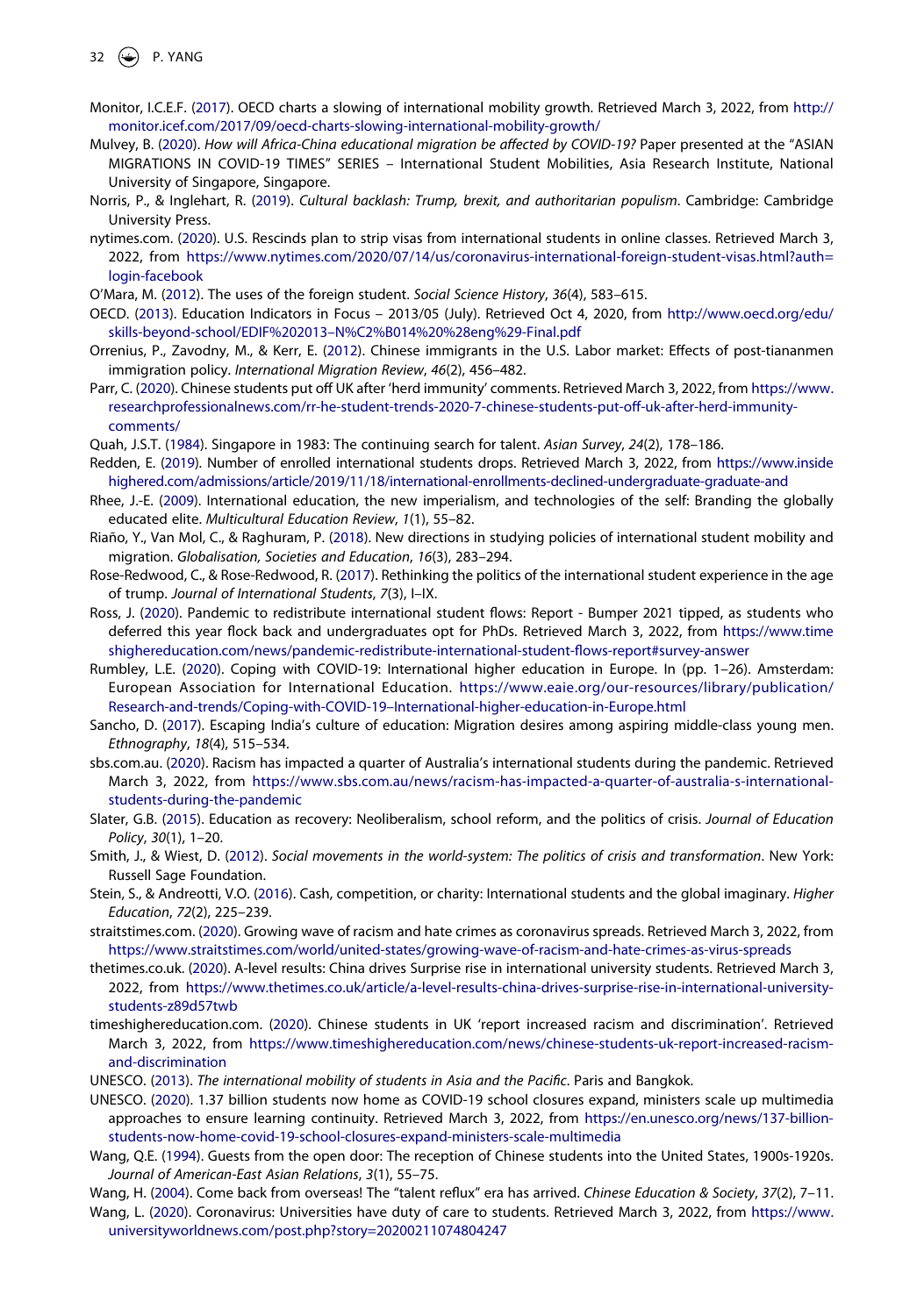- 32  $\bigodot$  P. YANG
- <span id="page-13-5"></span>Monitor, I.C.E.F. [\(2017\)](#page-2-8). OECD charts a slowing of international mobility growth. Retrieved March 3, 2022, from [http://](http://monitor.icef.com/2017/09/oecd-charts-slowing-international-mobility-growth/) [monitor.icef.com/2017/09/oecd-charts-slowing-international-mobility-growth/](http://monitor.icef.com/2017/09/oecd-charts-slowing-international-mobility-growth/)
- <span id="page-13-18"></span>Mulvey, B. ([2020](#page-8-3)). *How will Africa-China educational migration be affected by COVID-19?* Paper presented at the "ASIAN MIGRATIONS IN COVID-19 TIMES" SERIES – International Student Mobilities, Asia Research Institute, National University of Singapore, Singapore.
- <span id="page-13-25"></span>Norris, P., & Inglehart, R. ([2019\)](#page-9-2). *Cultural backlash: Trump, brexit, and authoritarian populism*. Cambridge: Cambridge University Press.
- <span id="page-13-24"></span>nytimes.com. [\(2020\)](#page-9-3). U.S. Rescinds plan to strip visas from international students in online classes. Retrieved March 3, 2022, from [https://www.nytimes.com/2020/07/14/us/coronavirus-international-foreign-student-visas.html?auth=](https://www.nytimes.com/2020/07/14/us/coronavirus-international-foreign-student-visas.html?auth=login-facebook) [login-facebook](https://www.nytimes.com/2020/07/14/us/coronavirus-international-foreign-student-visas.html?auth=login-facebook)
- <span id="page-13-14"></span>O'Mara, M. [\(2012\)](#page-5-1). The uses of the foreign student. *Social Science History*, *36*(4), 583–615.
- <span id="page-13-4"></span>OECD. [\(2013](#page-2-7)). Education Indicators in Focus – 2013/05 (July). Retrieved Oct 4, 2020, from [http://www.oecd.org/edu/](http://www.oecd.org/edu/skills-beyond-school/EDIF%202013%26#x2013;N%C2%B014%20%28eng%29-Final.pdf) [skills-beyond-school/EDIF%202013–N%C2%B014%20%28eng%29-Final.pdf](http://www.oecd.org/edu/skills-beyond-school/EDIF%202013%26#x2013;N%C2%B014%20%28eng%29-Final.pdf)
- <span id="page-13-15"></span>Orrenius, P., Zavodny, M., & Kerr, E. ([2012](#page-6-5)). Chinese immigrants in the U.S. Labor market: Effects of post-tiananmen immigration policy. *International Migration Review*, *46*(2), 456–482.
- <span id="page-13-20"></span>Parr, C. ([2020](#page-9-4)). Chinese students put off UK after 'herd immunity' comments. Retrieved March 3, 2022, from [https://www.](https://www.researchprofessionalnews.com/rr-he-student-trends-2020-7-chinese-students-put-off-uk-after-herd-immunity-comments/) [researchprofessionalnews.com/rr-he-student-trends-2020-7-chinese-students-put-off-uk-after-herd-immunity](https://www.researchprofessionalnews.com/rr-he-student-trends-2020-7-chinese-students-put-off-uk-after-herd-immunity-comments/)[comments/](https://www.researchprofessionalnews.com/rr-he-student-trends-2020-7-chinese-students-put-off-uk-after-herd-immunity-comments/)
- <span id="page-13-17"></span>Quah, J.S.T. [\(1984\)](#page-7-4). Singapore in 1983: The continuing search for talent. *Asian Survey*, *24*(2), 178–186.
- <span id="page-13-6"></span>Redden, E. [\(2019](#page-2-6)). Number of enrolled international students drops. Retrieved March 3, 2022, from [https://www.inside](https://www.insidehighered.com/admissions/article/2019/11/18/international-enrollments-declined-undergraduate-graduate-and) [highered.com/admissions/article/2019/11/18/international-enrollments-declined-undergraduate-graduate-and](https://www.insidehighered.com/admissions/article/2019/11/18/international-enrollments-declined-undergraduate-graduate-and)
- <span id="page-13-10"></span>Rhee, J.-E. [\(2009\)](#page-4-0). International education, the new imperialism, and technologies of the self: Branding the globally educated elite. *Multicultural Education Review*, *1*(1), 55–82.
- <span id="page-13-7"></span>Riaño, Y., Van Mol, C., & Raghuram, P. ([2018](#page-3-10)). New directions in studying policies of international student mobility and migration. *Globalisation, Societies and Education*, *16*(3), 283–294.
- <span id="page-13-26"></span>Rose-Redwood, C., & Rose-Redwood, R. ([2017](#page-10-3)). Rethinking the politics of the international student experience in the age of trump. *Journal of International Students*, *7*(3), I–IX.
- <span id="page-13-3"></span>Ross, J. ([2020](#page-2-9)). Pandemic to redistribute international student flows: Report - Bumper 2021 tipped, as students who deferred this year flock back and undergraduates opt for PhDs. Retrieved March 3, 2022, from [https://www.time](https://www.timeshighereducation.com/news/pandemic-redistribute-international-student-flows-report#survey-answer) [shighereducation.com/news/pandemic-redistribute-international-student-flows-report#survey-answer](https://www.timeshighereducation.com/news/pandemic-redistribute-international-student-flows-report#survey-answer)
- <span id="page-13-19"></span>Rumbley, L.E. [\(2020\)](#page-8-4). Coping with COVID-19: International higher education in Europe. In (pp. 1–26). Amsterdam: European Association for International Education. [https://www.eaie.org/our-resources/library/publication/](https://www.eaie.org/our-resources/library/publication/Research-and-trends/Coping-with-COVID-19--International-higher-education-in-Europe.html) [Research-and-trends/Coping-with-COVID-19–International-higher-education-in-Europe.html](https://www.eaie.org/our-resources/library/publication/Research-and-trends/Coping-with-COVID-19--International-higher-education-in-Europe.html)
- <span id="page-13-9"></span>Sancho, D. ([2017](#page-3-11)). Escaping India's culture of education: Migration desires among aspiring middle-class young men. *Ethnography*, *18*(4), 515–534.
- <span id="page-13-21"></span>sbs.com.au. ([2020](#page-9-5)). Racism has impacted a quarter of Australia's international students during the pandemic. Retrieved March 3, 2022, from [https://www.sbs.com.au/news/racism-has-impacted-a-quarter-of-australia-s-international](https://www.sbs.com.au/news/racism-has-impacted-a-quarter-of-australia-s-international-students-during-the-pandemic)[students-during-the-pandemic](https://www.sbs.com.au/news/racism-has-impacted-a-quarter-of-australia-s-international-students-during-the-pandemic)
- <span id="page-13-11"></span>Slater, G.B. ([2015](#page-4-1)). Education as recovery: Neoliberalism, school reform, and the politics of crisis. *Journal of Education Policy*, *30*(1), 1–20.
- <span id="page-13-12"></span>Smith, J., & Wiest, D. [\(2012\)](#page-4-3). *Social movements in the world-system: The politics of crisis and transformation*. New York: Russell Sage Foundation.
- <span id="page-13-2"></span>Stein, S., & Andreotti, V.O. ([2016](#page-2-10)). Cash, competition, or charity: International students and the global imaginary. *Higher Education*, *72*(2), 225–239.
- <span id="page-13-22"></span>straitstimes.com. [\(2020\)](#page-9-5). Growing wave of racism and hate crimes as coronavirus spreads. Retrieved March 3, 2022, from <https://www.straitstimes.com/world/united-states/growing-wave-of-racism-and-hate-crimes-as-virus-spreads>
- <span id="page-13-27"></span>thetimes.co.uk. ([2020](#page-10-5)). A-level results: China drives Surprise rise in international university students. Retrieved March 3, 2022, from [https://www.thetimes.co.uk/article/a-level-results-china-drives-surprise-rise-in-international-university](https://www.thetimes.co.uk/article/a-level-results-china-drives-surprise-rise-in-international-university-students-z89d57twb)[students-z89d57twb](https://www.thetimes.co.uk/article/a-level-results-china-drives-surprise-rise-in-international-university-students-z89d57twb)
- <span id="page-13-23"></span>timeshighereducation.com. ([2020](#page-9-5)). Chinese students in UK 'report increased racism and discrimination'. Retrieved March 3, 2022, from [https://www.timeshighereducation.com/news/chinese-students-uk-report-increased-racism](https://www.timeshighereducation.com/news/chinese-students-uk-report-increased-racism-and-discrimination)[and-discrimination](https://www.timeshighereducation.com/news/chinese-students-uk-report-increased-racism-and-discrimination)
- <span id="page-13-8"></span>UNESCO. ([2013](#page-3-12)). *The international mobility of students in Asia and the Pacific*. Paris and Bangkok.
- <span id="page-13-0"></span>UNESCO. ([2020](#page-1-4)). 1.37 billion students now home as COVID-19 school closures expand, ministers scale up multimedia approaches to ensure learning continuity. Retrieved March 3, 2022, from [https://en.unesco.org/news/137-billion](https://en.unesco.org/news/137-billion-students-now-home-covid-19-school-closures-expand-ministers-scale-multimedia)[students-now-home-covid-19-school-closures-expand-ministers-scale-multimedia](https://en.unesco.org/news/137-billion-students-now-home-covid-19-school-closures-expand-ministers-scale-multimedia)
- <span id="page-13-13"></span>Wang, Q.E. ([1994\)](#page-5-4). Guests from the open door: The reception of Chinese students into the United States, 1900s-1920s. *Journal of American-East Asian Relations*, *3*(1), 55–75.
- <span id="page-13-16"></span>Wang, H. ([2004\)](#page-7-5). Come back from overseas! The "talent reflux" era has arrived. *Chinese Education & Society*, *37*(2), 7–11.
- <span id="page-13-1"></span>Wang, L. ([2020](#page-1-2)). Coronavirus: Universities have duty of care to students. Retrieved March 3, 2022, from [https://www.](https://www.universityworldnews.com/post.php?story=20200211074804247) [universityworldnews.com/post.php?story=20200211074804247](https://www.universityworldnews.com/post.php?story=20200211074804247)